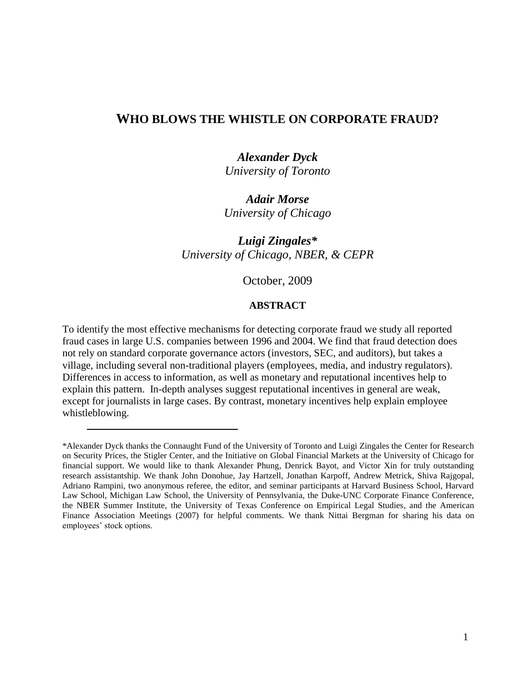## **WHO BLOWS THE WHISTLE ON CORPORATE FRAUD?**

*Alexander Dyck University of Toronto*

*Adair Morse University of Chicago*

*Luigi Zingales\* University of Chicago, NBER, & CEPR*

October, 2009

## **ABSTRACT**

To identify the most effective mechanisms for detecting corporate fraud we study all reported fraud cases in large U.S. companies between 1996 and 2004. We find that fraud detection does not rely on standard corporate governance actors (investors, SEC, and auditors), but takes a village, including several non-traditional players (employees, media, and industry regulators). Differences in access to information, as well as monetary and reputational incentives help to explain this pattern. In-depth analyses suggest reputational incentives in general are weak, except for journalists in large cases. By contrast, monetary incentives help explain employee whistleblowing.

\_\_\_\_\_\_\_\_\_\_\_\_\_\_\_\_\_\_\_\_\_\_\_\_\_\_\_\_\_

<sup>\*</sup>Alexander Dyck thanks the Connaught Fund of the University of Toronto and Luigi Zingales the Center for Research on Security Prices, the Stigler Center, and the Initiative on Global Financial Markets at the University of Chicago for financial support. We would like to thank Alexander Phung, Denrick Bayot, and Victor Xin for truly outstanding research assistantship. We thank John Donohue, Jay Hartzell, Jonathan Karpoff, Andrew Metrick, Shiva Rajgopal, Adriano Rampini, two anonymous referee, the editor, and seminar participants at Harvard Business School, Harvard Law School, Michigan Law School, the University of Pennsylvania, the Duke-UNC Corporate Finance Conference, the NBER Summer Institute, the University of Texas Conference on Empirical Legal Studies, and the American Finance Association Meetings (2007) for helpful comments. We thank Nittai Bergman for sharing his data on employees' stock options.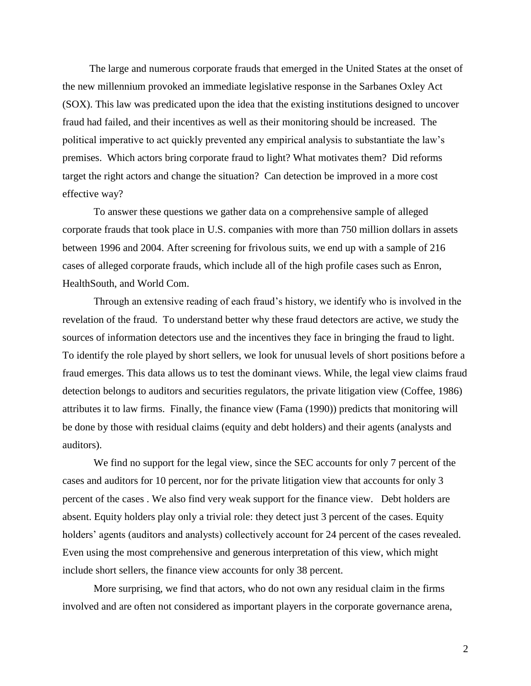The large and numerous corporate frauds that emerged in the United States at the onset of the new millennium provoked an immediate legislative response in the Sarbanes Oxley Act (SOX). This law was predicated upon the idea that the existing institutions designed to uncover fraud had failed, and their incentives as well as their monitoring should be increased. The political imperative to act quickly prevented any empirical analysis to substantiate the law"s premises. Which actors bring corporate fraud to light? What motivates them? Did reforms target the right actors and change the situation? Can detection be improved in a more cost effective way?

To answer these questions we gather data on a comprehensive sample of alleged corporate frauds that took place in U.S. companies with more than 750 million dollars in assets between 1996 and 2004. After screening for frivolous suits, we end up with a sample of 216 cases of alleged corporate frauds, which include all of the high profile cases such as Enron, HealthSouth, and World Com.

Through an extensive reading of each fraud"s history, we identify who is involved in the revelation of the fraud. To understand better why these fraud detectors are active, we study the sources of information detectors use and the incentives they face in bringing the fraud to light. To identify the role played by short sellers, we look for unusual levels of short positions before a fraud emerges. This data allows us to test the dominant views. While, the legal view claims fraud detection belongs to auditors and securities regulators, the private litigation view (Coffee, 1986) attributes it to law firms. Finally, the finance view (Fama (1990)) predicts that monitoring will be done by those with residual claims (equity and debt holders) and their agents (analysts and auditors).

We find no support for the legal view, since the SEC accounts for only 7 percent of the cases and auditors for 10 percent, nor for the private litigation view that accounts for only 3 percent of the cases . We also find very weak support for the finance view. Debt holders are absent. Equity holders play only a trivial role: they detect just 3 percent of the cases. Equity holders' agents (auditors and analysts) collectively account for 24 percent of the cases revealed. Even using the most comprehensive and generous interpretation of this view, which might include short sellers, the finance view accounts for only 38 percent.

More surprising, we find that actors, who do not own any residual claim in the firms involved and are often not considered as important players in the corporate governance arena,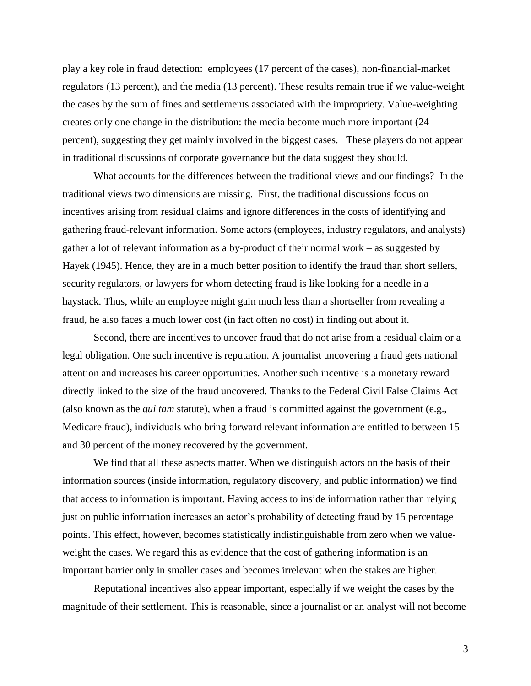play a key role in fraud detection: employees (17 percent of the cases), non-financial-market regulators (13 percent), and the media (13 percent). These results remain true if we value-weight the cases by the sum of fines and settlements associated with the impropriety. Value-weighting creates only one change in the distribution: the media become much more important (24 percent), suggesting they get mainly involved in the biggest cases. These players do not appear in traditional discussions of corporate governance but the data suggest they should.

What accounts for the differences between the traditional views and our findings? In the traditional views two dimensions are missing. First, the traditional discussions focus on incentives arising from residual claims and ignore differences in the costs of identifying and gathering fraud-relevant information. Some actors (employees, industry regulators, and analysts) gather a lot of relevant information as a by-product of their normal work – as suggested by Hayek (1945). Hence, they are in a much better position to identify the fraud than short sellers, security regulators, or lawyers for whom detecting fraud is like looking for a needle in a haystack. Thus, while an employee might gain much less than a shortseller from revealing a fraud, he also faces a much lower cost (in fact often no cost) in finding out about it.

Second, there are incentives to uncover fraud that do not arise from a residual claim or a legal obligation. One such incentive is reputation. A journalist uncovering a fraud gets national attention and increases his career opportunities. Another such incentive is a monetary reward directly linked to the size of the fraud uncovered. Thanks to the Federal Civil False Claims Act (also known as the *qui tam* statute), when a fraud is committed against the government (e.g., Medicare fraud), individuals who bring forward relevant information are entitled to between 15 and 30 percent of the money recovered by the government.

We find that all these aspects matter. When we distinguish actors on the basis of their information sources (inside information, regulatory discovery, and public information) we find that access to information is important. Having access to inside information rather than relying just on public information increases an actor"s probability of detecting fraud by 15 percentage points. This effect, however, becomes statistically indistinguishable from zero when we valueweight the cases. We regard this as evidence that the cost of gathering information is an important barrier only in smaller cases and becomes irrelevant when the stakes are higher.

Reputational incentives also appear important, especially if we weight the cases by the magnitude of their settlement. This is reasonable, since a journalist or an analyst will not become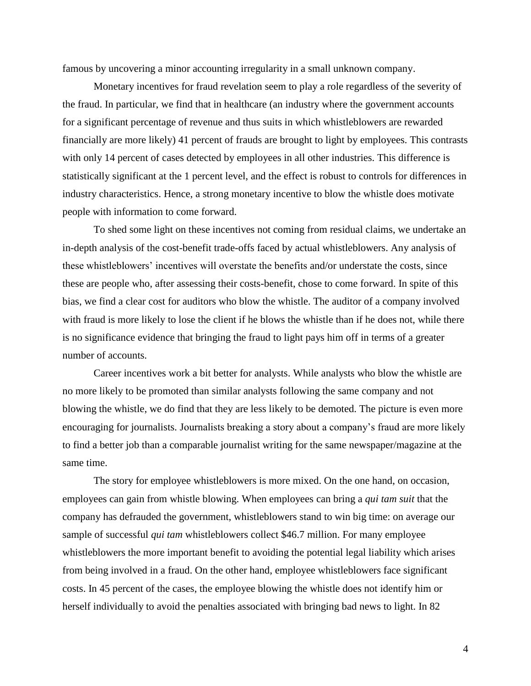famous by uncovering a minor accounting irregularity in a small unknown company.

Monetary incentives for fraud revelation seem to play a role regardless of the severity of the fraud. In particular, we find that in healthcare (an industry where the government accounts for a significant percentage of revenue and thus suits in which whistleblowers are rewarded financially are more likely) 41 percent of frauds are brought to light by employees. This contrasts with only 14 percent of cases detected by employees in all other industries. This difference is statistically significant at the 1 percent level, and the effect is robust to controls for differences in industry characteristics. Hence, a strong monetary incentive to blow the whistle does motivate people with information to come forward.

To shed some light on these incentives not coming from residual claims, we undertake an in-depth analysis of the cost-benefit trade-offs faced by actual whistleblowers. Any analysis of these whistleblowers" incentives will overstate the benefits and/or understate the costs, since these are people who, after assessing their costs-benefit, chose to come forward. In spite of this bias, we find a clear cost for auditors who blow the whistle. The auditor of a company involved with fraud is more likely to lose the client if he blows the whistle than if he does not, while there is no significance evidence that bringing the fraud to light pays him off in terms of a greater number of accounts.

Career incentives work a bit better for analysts. While analysts who blow the whistle are no more likely to be promoted than similar analysts following the same company and not blowing the whistle, we do find that they are less likely to be demoted. The picture is even more encouraging for journalists. Journalists breaking a story about a company"s fraud are more likely to find a better job than a comparable journalist writing for the same newspaper/magazine at the same time.

The story for employee whistleblowers is more mixed. On the one hand, on occasion, employees can gain from whistle blowing. When employees can bring a *qui tam suit* that the company has defrauded the government, whistleblowers stand to win big time: on average our sample of successful *qui tam* whistleblowers collect \$46.7 million. For many employee whistleblowers the more important benefit to avoiding the potential legal liability which arises from being involved in a fraud. On the other hand, employee whistleblowers face significant costs. In 45 percent of the cases, the employee blowing the whistle does not identify him or herself individually to avoid the penalties associated with bringing bad news to light. In 82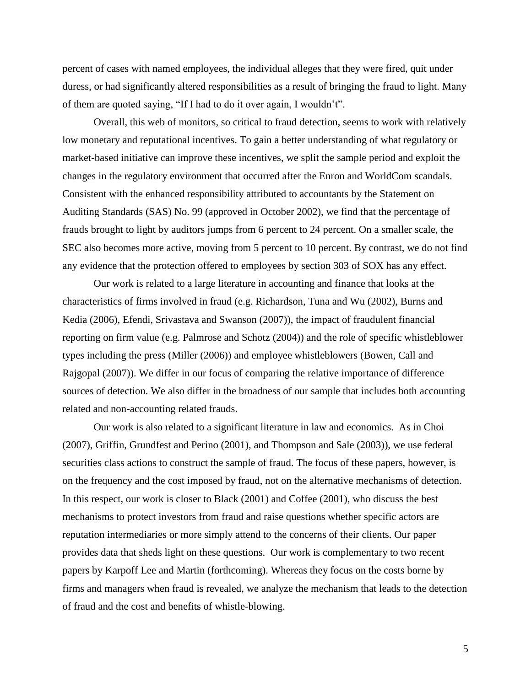percent of cases with named employees, the individual alleges that they were fired, quit under duress, or had significantly altered responsibilities as a result of bringing the fraud to light. Many of them are quoted saying, "If I had to do it over again, I wouldn"t".

Overall, this web of monitors, so critical to fraud detection, seems to work with relatively low monetary and reputational incentives. To gain a better understanding of what regulatory or market-based initiative can improve these incentives, we split the sample period and exploit the changes in the regulatory environment that occurred after the Enron and WorldCom scandals. Consistent with the enhanced responsibility attributed to accountants by the Statement on Auditing Standards (SAS) No. 99 (approved in October 2002), we find that the percentage of frauds brought to light by auditors jumps from 6 percent to 24 percent. On a smaller scale, the SEC also becomes more active, moving from 5 percent to 10 percent. By contrast, we do not find any evidence that the protection offered to employees by section 303 of SOX has any effect.

Our work is related to a large literature in accounting and finance that looks at the characteristics of firms involved in fraud (e.g. Richardson, Tuna and Wu (2002), Burns and Kedia (2006), Efendi, Srivastava and Swanson (2007)), the impact of fraudulent financial reporting on firm value (e.g. Palmrose and Schotz (2004)) and the role of specific whistleblower types including the press (Miller (2006)) and employee whistleblowers (Bowen, Call and Rajgopal (2007)). We differ in our focus of comparing the relative importance of difference sources of detection. We also differ in the broadness of our sample that includes both accounting related and non-accounting related frauds.

Our work is also related to a significant literature in law and economics. As in Choi (2007), Griffin, Grundfest and Perino (2001), and Thompson and Sale (2003)), we use federal securities class actions to construct the sample of fraud. The focus of these papers, however, is on the frequency and the cost imposed by fraud, not on the alternative mechanisms of detection. In this respect, our work is closer to Black (2001) and Coffee (2001), who discuss the best mechanisms to protect investors from fraud and raise questions whether specific actors are reputation intermediaries or more simply attend to the concerns of their clients. Our paper provides data that sheds light on these questions. Our work is complementary to two recent papers by Karpoff Lee and Martin (forthcoming). Whereas they focus on the costs borne by firms and managers when fraud is revealed, we analyze the mechanism that leads to the detection of fraud and the cost and benefits of whistle-blowing.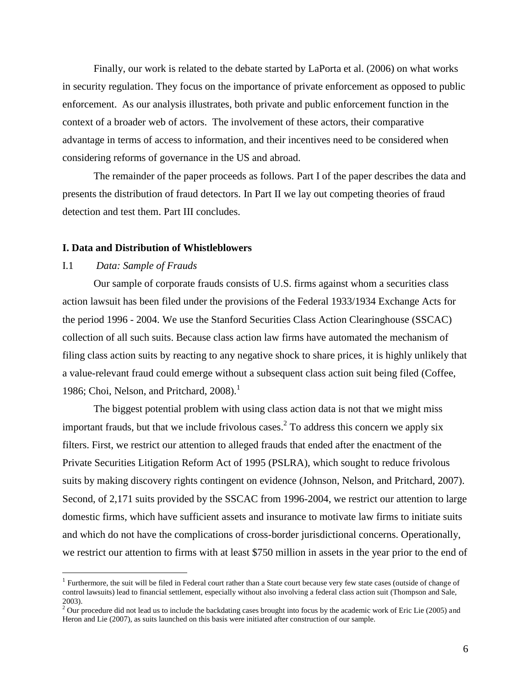Finally, our work is related to the debate started by LaPorta et al. (2006) on what works in security regulation. They focus on the importance of private enforcement as opposed to public enforcement. As our analysis illustrates, both private and public enforcement function in the context of a broader web of actors. The involvement of these actors, their comparative advantage in terms of access to information, and their incentives need to be considered when considering reforms of governance in the US and abroad.

The remainder of the paper proceeds as follows. Part I of the paper describes the data and presents the distribution of fraud detectors. In Part II we lay out competing theories of fraud detection and test them. Part III concludes.

## **I. Data and Distribution of Whistleblowers**

#### I.1 *Data: Sample of Frauds*

 $\overline{a}$ 

Our sample of corporate frauds consists of U.S. firms against whom a securities class action lawsuit has been filed under the provisions of the Federal 1933/1934 Exchange Acts for the period 1996 - 2004. We use the Stanford Securities Class Action Clearinghouse (SSCAC) collection of all such suits. Because class action law firms have automated the mechanism of filing class action suits by reacting to any negative shock to share prices, it is highly unlikely that a value-relevant fraud could emerge without a subsequent class action suit being filed (Coffee, 1986; Choi, Nelson, and Pritchard, 2008).<sup>1</sup>

The biggest potential problem with using class action data is not that we might miss important frauds, but that we include frivolous cases.<sup>2</sup> To address this concern we apply six filters. First, we restrict our attention to alleged frauds that ended after the enactment of the Private Securities Litigation Reform Act of 1995 (PSLRA), which sought to reduce frivolous suits by making discovery rights contingent on evidence (Johnson, Nelson, and Pritchard, 2007). Second, of 2,171 suits provided by the SSCAC from 1996-2004, we restrict our attention to large domestic firms, which have sufficient assets and insurance to motivate law firms to initiate suits and which do not have the complications of cross-border jurisdictional concerns. Operationally, we restrict our attention to firms with at least \$750 million in assets in the year prior to the end of

<sup>&</sup>lt;sup>1</sup> Furthermore, the suit will be filed in Federal court rather than a State court because very few state cases (outside of change of control lawsuits) lead to financial settlement, especially without also involving a federal class action suit (Thompson and Sale, 2003).

 $2$  Our procedure did not lead us to include the backdating cases brought into focus by the academic work of Eric Lie (2005) and Heron and Lie (2007), as suits launched on this basis were initiated after construction of our sample.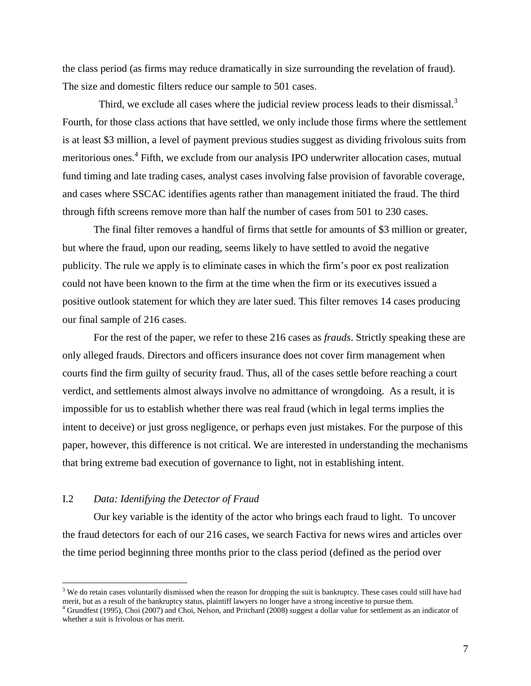the class period (as firms may reduce dramatically in size surrounding the revelation of fraud). The size and domestic filters reduce our sample to 501 cases.

Third, we exclude all cases where the judicial review process leads to their dismissal.<sup>3</sup> Fourth, for those class actions that have settled, we only include those firms where the settlement is at least \$3 million, a level of payment previous studies suggest as dividing frivolous suits from meritorious ones.<sup>4</sup> Fifth, we exclude from our analysis IPO underwriter allocation cases, mutual fund timing and late trading cases, analyst cases involving false provision of favorable coverage, and cases where SSCAC identifies agents rather than management initiated the fraud. The third through fifth screens remove more than half the number of cases from 501 to 230 cases.

The final filter removes a handful of firms that settle for amounts of \$3 million or greater, but where the fraud, upon our reading, seems likely to have settled to avoid the negative publicity. The rule we apply is to eliminate cases in which the firm"s poor ex post realization could not have been known to the firm at the time when the firm or its executives issued a positive outlook statement for which they are later sued. This filter removes 14 cases producing our final sample of 216 cases.

For the rest of the paper, we refer to these 216 cases as *frauds*. Strictly speaking these are only alleged frauds. Directors and officers insurance does not cover firm management when courts find the firm guilty of security fraud. Thus, all of the cases settle before reaching a court verdict, and settlements almost always involve no admittance of wrongdoing. As a result, it is impossible for us to establish whether there was real fraud (which in legal terms implies the intent to deceive) or just gross negligence, or perhaps even just mistakes. For the purpose of this paper, however, this difference is not critical. We are interested in understanding the mechanisms that bring extreme bad execution of governance to light, not in establishing intent.

## I.2 *Data: Identifying the Detector of Fraud*

 $\overline{a}$ 

Our key variable is the identity of the actor who brings each fraud to light. To uncover the fraud detectors for each of our 216 cases, we search Factiva for news wires and articles over the time period beginning three months prior to the class period (defined as the period over

<sup>&</sup>lt;sup>3</sup> We do retain cases voluntarily dismissed when the reason for dropping the suit is bankruptcy. These cases could still have had merit, but as a result of the bankruptcy status, plaintiff lawyers no longer have a strong incentive to pursue them.

<sup>&</sup>lt;sup>4</sup> Grundfest (1995), Choi (2007) and Choi, Nelson, and Pritchard (2008) suggest a dollar value for settlement as an indicator of whether a suit is frivolous or has merit.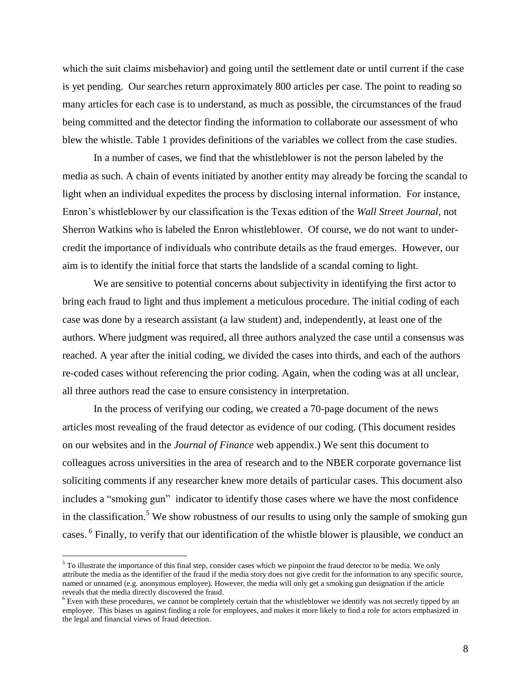which the suit claims misbehavior) and going until the settlement date or until current if the case is yet pending. Our searches return approximately 800 articles per case. The point to reading so many articles for each case is to understand, as much as possible, the circumstances of the fraud being committed and the detector finding the information to collaborate our assessment of who blew the whistle. Table 1 provides definitions of the variables we collect from the case studies.

In a number of cases, we find that the whistleblower is not the person labeled by the media as such. A chain of events initiated by another entity may already be forcing the scandal to light when an individual expedites the process by disclosing internal information. For instance, Enron"s whistleblower by our classification is the Texas edition of the *Wall Street Journal*, not Sherron Watkins who is labeled the Enron whistleblower. Of course, we do not want to undercredit the importance of individuals who contribute details as the fraud emerges. However, our aim is to identify the initial force that starts the landslide of a scandal coming to light.

We are sensitive to potential concerns about subjectivity in identifying the first actor to bring each fraud to light and thus implement a meticulous procedure. The initial coding of each case was done by a research assistant (a law student) and, independently, at least one of the authors. Where judgment was required, all three authors analyzed the case until a consensus was reached. A year after the initial coding, we divided the cases into thirds, and each of the authors re-coded cases without referencing the prior coding. Again, when the coding was at all unclear, all three authors read the case to ensure consistency in interpretation.

In the process of verifying our coding, we created a 70-page document of the news articles most revealing of the fraud detector as evidence of our coding. (This document resides on our websites and in the *Journal of Finance* web appendix.) We sent this document to colleagues across universities in the area of research and to the NBER corporate governance list soliciting comments if any researcher knew more details of particular cases. This document also includes a "smoking gun" indicator to identify those cases where we have the most confidence in the classification.<sup>5</sup> We show robustness of our results to using only the sample of smoking gun cases. <sup>6</sup> Finally, to verify that our identification of the whistle blower is plausible, we conduct an

 $\overline{a}$ 

 $<sup>5</sup>$  To illustrate the importance of this final step, consider cases which we pinpoint the fraud detector to be media. We only</sup> attribute the media as the identifier of the fraud if the media story does not give credit for the information to any specific source, named or unnamed (e.g. anonymous employee). However, the media will only get a smoking gun designation if the article reveals that the media directly discovered the fraud.

 $6$  Even with these procedures, we cannot be completely certain that the whistleblower we identify was not secretly tipped by an employee. This biases us against finding a role for employees, and makes it more likely to find a role for actors emphasized in the legal and financial views of fraud detection.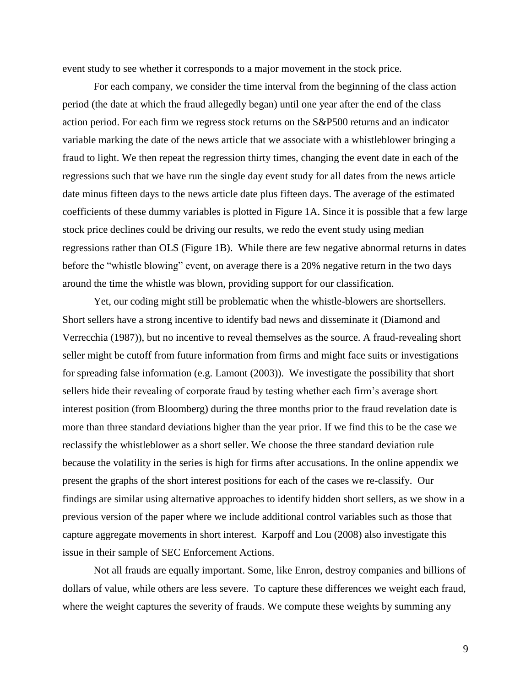event study to see whether it corresponds to a major movement in the stock price.

For each company, we consider the time interval from the beginning of the class action period (the date at which the fraud allegedly began) until one year after the end of the class action period. For each firm we regress stock returns on the S&P500 returns and an indicator variable marking the date of the news article that we associate with a whistleblower bringing a fraud to light. We then repeat the regression thirty times, changing the event date in each of the regressions such that we have run the single day event study for all dates from the news article date minus fifteen days to the news article date plus fifteen days. The average of the estimated coefficients of these dummy variables is plotted in Figure 1A. Since it is possible that a few large stock price declines could be driving our results, we redo the event study using median regressions rather than OLS (Figure 1B). While there are few negative abnormal returns in dates before the "whistle blowing" event, on average there is a 20% negative return in the two days around the time the whistle was blown, providing support for our classification.

Yet, our coding might still be problematic when the whistle-blowers are shortsellers. Short sellers have a strong incentive to identify bad news and disseminate it (Diamond and Verrecchia (1987)), but no incentive to reveal themselves as the source. A fraud-revealing short seller might be cutoff from future information from firms and might face suits or investigations for spreading false information (e.g. Lamont (2003)). We investigate the possibility that short sellers hide their revealing of corporate fraud by testing whether each firm"s average short interest position (from Bloomberg) during the three months prior to the fraud revelation date is more than three standard deviations higher than the year prior. If we find this to be the case we reclassify the whistleblower as a short seller. We choose the three standard deviation rule because the volatility in the series is high for firms after accusations. In the online appendix we present the graphs of the short interest positions for each of the cases we re-classify. Our findings are similar using alternative approaches to identify hidden short sellers, as we show in a previous version of the paper where we include additional control variables such as those that capture aggregate movements in short interest. Karpoff and Lou (2008) also investigate this issue in their sample of SEC Enforcement Actions.

Not all frauds are equally important. Some, like Enron, destroy companies and billions of dollars of value, while others are less severe. To capture these differences we weight each fraud, where the weight captures the severity of frauds. We compute these weights by summing any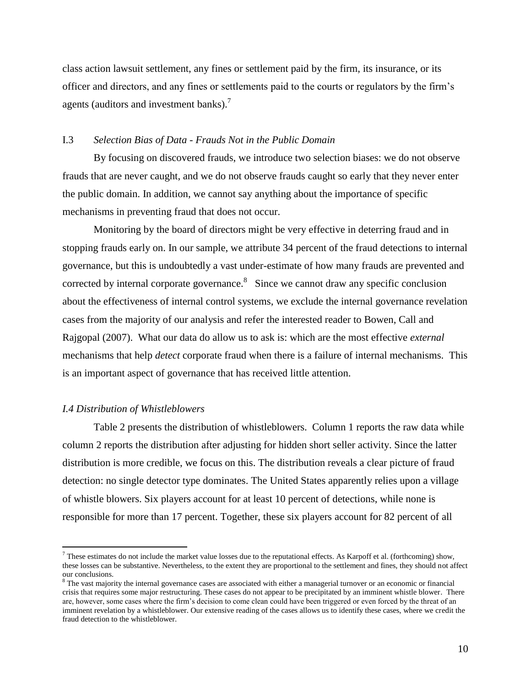class action lawsuit settlement, any fines or settlement paid by the firm, its insurance, or its officer and directors, and any fines or settlements paid to the courts or regulators by the firm"s agents (auditors and investment banks).<sup>7</sup>

### I.3 *Selection Bias of Data - Frauds Not in the Public Domain*

By focusing on discovered frauds, we introduce two selection biases: we do not observe frauds that are never caught, and we do not observe frauds caught so early that they never enter the public domain. In addition, we cannot say anything about the importance of specific mechanisms in preventing fraud that does not occur.

Monitoring by the board of directors might be very effective in deterring fraud and in stopping frauds early on. In our sample, we attribute 34 percent of the fraud detections to internal governance, but this is undoubtedly a vast under-estimate of how many frauds are prevented and corrected by internal corporate governance.<sup>8</sup> Since we cannot draw any specific conclusion about the effectiveness of internal control systems, we exclude the internal governance revelation cases from the majority of our analysis and refer the interested reader to Bowen, Call and Rajgopal (2007). What our data do allow us to ask is: which are the most effective *external* mechanisms that help *detect* corporate fraud when there is a failure of internal mechanisms. This is an important aspect of governance that has received little attention.

## *I.4 Distribution of Whistleblowers*

 $\overline{a}$ 

Table 2 presents the distribution of whistleblowers. Column 1 reports the raw data while column 2 reports the distribution after adjusting for hidden short seller activity. Since the latter distribution is more credible, we focus on this. The distribution reveals a clear picture of fraud detection: no single detector type dominates. The United States apparently relies upon a village of whistle blowers. Six players account for at least 10 percent of detections, while none is responsible for more than 17 percent. Together, these six players account for 82 percent of all

 $^7$  These estimates do not include the market value losses due to the reputational effects. As Karpoff et al. (forthcoming) show, these losses can be substantive. Nevertheless, to the extent they are proportional to the settlement and fines, they should not affect our conclusions.

<sup>&</sup>lt;sup>8</sup> The vast majority the internal governance cases are associated with either a managerial turnover or an economic or financial crisis that requires some major restructuring. These cases do not appear to be precipitated by an imminent whistle blower. There are, however, some cases where the firm"s decision to come clean could have been triggered or even forced by the threat of an imminent revelation by a whistleblower. Our extensive reading of the cases allows us to identify these cases, where we credit the fraud detection to the whistleblower.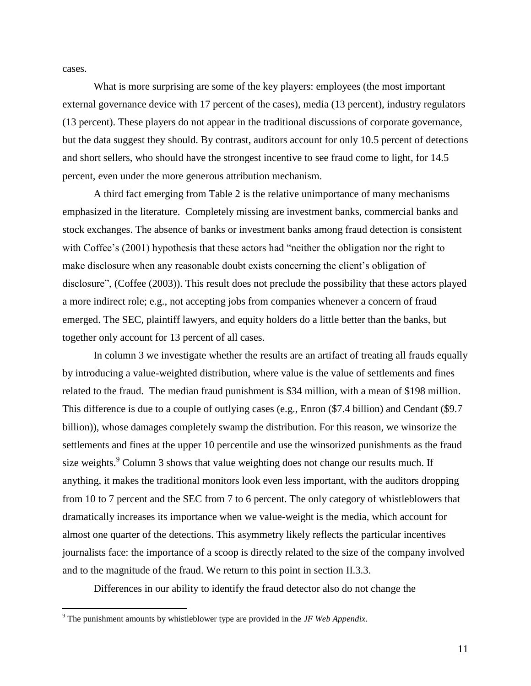cases.

 $\overline{a}$ 

What is more surprising are some of the key players: employees (the most important external governance device with 17 percent of the cases), media (13 percent), industry regulators (13 percent). These players do not appear in the traditional discussions of corporate governance, but the data suggest they should. By contrast, auditors account for only 10.5 percent of detections and short sellers, who should have the strongest incentive to see fraud come to light, for 14.5 percent, even under the more generous attribution mechanism.

A third fact emerging from Table 2 is the relative unimportance of many mechanisms emphasized in the literature. Completely missing are investment banks, commercial banks and stock exchanges. The absence of banks or investment banks among fraud detection is consistent with Coffee's (2001) hypothesis that these actors had "neither the obligation nor the right to make disclosure when any reasonable doubt exists concerning the client's obligation of disclosure", (Coffee (2003)). This result does not preclude the possibility that these actors played a more indirect role; e.g., not accepting jobs from companies whenever a concern of fraud emerged. The SEC, plaintiff lawyers, and equity holders do a little better than the banks, but together only account for 13 percent of all cases.

In column 3 we investigate whether the results are an artifact of treating all frauds equally by introducing a value-weighted distribution, where value is the value of settlements and fines related to the fraud. The median fraud punishment is \$34 million, with a mean of \$198 million. This difference is due to a couple of outlying cases (e.g., Enron (\$7.4 billion) and Cendant (\$9.7 billion)), whose damages completely swamp the distribution. For this reason, we winsorize the settlements and fines at the upper 10 percentile and use the winsorized punishments as the fraud size weights.<sup>9</sup> Column 3 shows that value weighting does not change our results much. If anything, it makes the traditional monitors look even less important, with the auditors dropping from 10 to 7 percent and the SEC from 7 to 6 percent. The only category of whistleblowers that dramatically increases its importance when we value-weight is the media, which account for almost one quarter of the detections. This asymmetry likely reflects the particular incentives journalists face: the importance of a scoop is directly related to the size of the company involved and to the magnitude of the fraud. We return to this point in section II.3.3.

Differences in our ability to identify the fraud detector also do not change the

 $9^9$  The punishment amounts by whistleblower type are provided in the *JF Web Appendix*.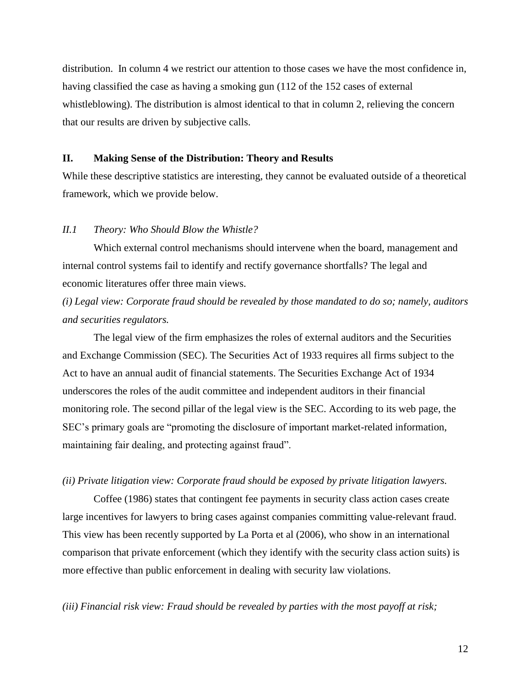distribution. In column 4 we restrict our attention to those cases we have the most confidence in, having classified the case as having a smoking gun (112 of the 152 cases of external whistleblowing). The distribution is almost identical to that in column 2, relieving the concern that our results are driven by subjective calls.

## **II. Making Sense of the Distribution: Theory and Results**

While these descriptive statistics are interesting, they cannot be evaluated outside of a theoretical framework, which we provide below.

## *II.1 Theory: Who Should Blow the Whistle?*

Which external control mechanisms should intervene when the board, management and internal control systems fail to identify and rectify governance shortfalls? The legal and economic literatures offer three main views.

*(i) Legal view: Corporate fraud should be revealed by those mandated to do so; namely, auditors and securities regulators.* 

The legal view of the firm emphasizes the roles of external auditors and the Securities and Exchange Commission (SEC). The Securities Act of 1933 requires all firms subject to the Act to have an annual audit of financial statements. The Securities Exchange Act of 1934 underscores the roles of the audit committee and independent auditors in their financial monitoring role. The second pillar of the legal view is the SEC. According to its web page, the SEC"s primary goals are "promoting the disclosure of important market-related information, maintaining fair dealing, and protecting against fraud".

## *(ii) Private litigation view: Corporate fraud should be exposed by private litigation lawyers.*

Coffee (1986) states that contingent fee payments in security class action cases create large incentives for lawyers to bring cases against companies committing value-relevant fraud. This view has been recently supported by La Porta et al (2006), who show in an international comparison that private enforcement (which they identify with the security class action suits) is more effective than public enforcement in dealing with security law violations.

### *(iii) Financial risk view: Fraud should be revealed by parties with the most payoff at risk;*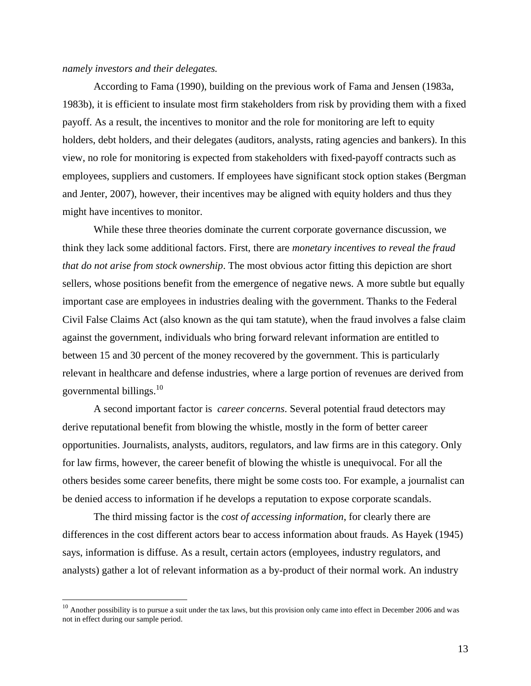### *namely investors and their delegates.*

 $\overline{a}$ 

According to Fama (1990), building on the previous work of Fama and Jensen (1983a, 1983b), it is efficient to insulate most firm stakeholders from risk by providing them with a fixed payoff. As a result, the incentives to monitor and the role for monitoring are left to equity holders, debt holders, and their delegates (auditors, analysts, rating agencies and bankers). In this view, no role for monitoring is expected from stakeholders with fixed-payoff contracts such as employees, suppliers and customers. If employees have significant stock option stakes (Bergman and Jenter, 2007), however, their incentives may be aligned with equity holders and thus they might have incentives to monitor.

While these three theories dominate the current corporate governance discussion, we think they lack some additional factors. First, there are *monetary incentives to reveal the fraud that do not arise from stock ownership*. The most obvious actor fitting this depiction are short sellers, whose positions benefit from the emergence of negative news. A more subtle but equally important case are employees in industries dealing with the government. Thanks to the Federal Civil False Claims Act (also known as the qui tam statute), when the fraud involves a false claim against the government, individuals who bring forward relevant information are entitled to between 15 and 30 percent of the money recovered by the government. This is particularly relevant in healthcare and defense industries, where a large portion of revenues are derived from governmental billings.<sup>10</sup>

A second important factor is *career concerns*. Several potential fraud detectors may derive reputational benefit from blowing the whistle, mostly in the form of better career opportunities. Journalists, analysts, auditors, regulators, and law firms are in this category. Only for law firms, however, the career benefit of blowing the whistle is unequivocal. For all the others besides some career benefits, there might be some costs too. For example, a journalist can be denied access to information if he develops a reputation to expose corporate scandals.

The third missing factor is the *cost of accessing information*, for clearly there are differences in the cost different actors bear to access information about frauds. As Hayek (1945) says, information is diffuse. As a result, certain actors (employees, industry regulators, and analysts) gather a lot of relevant information as a by-product of their normal work. An industry

 $10$  Another possibility is to pursue a suit under the tax laws, but this provision only came into effect in December 2006 and was not in effect during our sample period.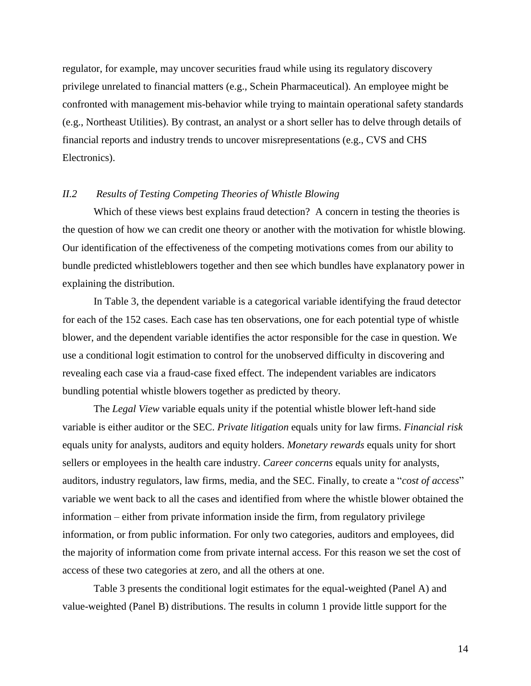regulator, for example, may uncover securities fraud while using its regulatory discovery privilege unrelated to financial matters (e.g., Schein Pharmaceutical). An employee might be confronted with management mis-behavior while trying to maintain operational safety standards (e.g., Northeast Utilities). By contrast, an analyst or a short seller has to delve through details of financial reports and industry trends to uncover misrepresentations (e.g., CVS and CHS Electronics).

## *II.2 Results of Testing Competing Theories of Whistle Blowing*

Which of these views best explains fraud detection? A concern in testing the theories is the question of how we can credit one theory or another with the motivation for whistle blowing. Our identification of the effectiveness of the competing motivations comes from our ability to bundle predicted whistleblowers together and then see which bundles have explanatory power in explaining the distribution.

In Table 3, the dependent variable is a categorical variable identifying the fraud detector for each of the 152 cases. Each case has ten observations, one for each potential type of whistle blower, and the dependent variable identifies the actor responsible for the case in question. We use a conditional logit estimation to control for the unobserved difficulty in discovering and revealing each case via a fraud-case fixed effect. The independent variables are indicators bundling potential whistle blowers together as predicted by theory.

The *Legal View* variable equals unity if the potential whistle blower left-hand side variable is either auditor or the SEC. *Private litigation* equals unity for law firms. *Financial risk* equals unity for analysts, auditors and equity holders. *Monetary rewards* equals unity for short sellers or employees in the health care industry. *Career concerns* equals unity for analysts, auditors, industry regulators, law firms, media, and the SEC. Finally, to create a "*cost of access*" variable we went back to all the cases and identified from where the whistle blower obtained the information – either from private information inside the firm, from regulatory privilege information, or from public information. For only two categories, auditors and employees, did the majority of information come from private internal access. For this reason we set the cost of access of these two categories at zero, and all the others at one.

Table 3 presents the conditional logit estimates for the equal-weighted (Panel A) and value-weighted (Panel B) distributions. The results in column 1 provide little support for the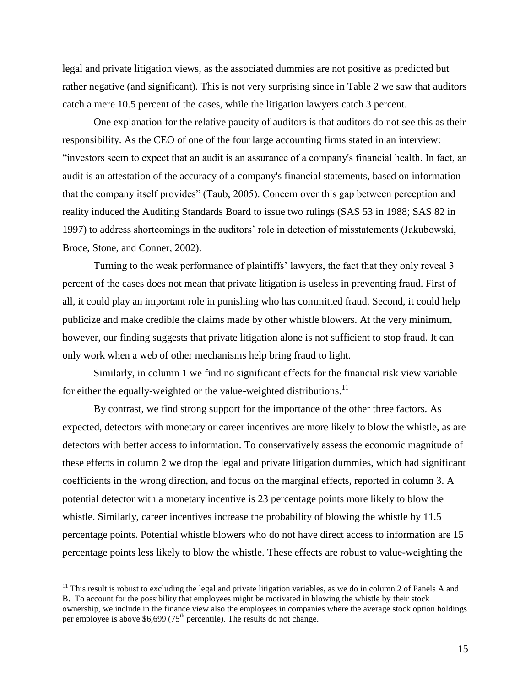legal and private litigation views, as the associated dummies are not positive as predicted but rather negative (and significant). This is not very surprising since in Table 2 we saw that auditors catch a mere 10.5 percent of the cases, while the litigation lawyers catch 3 percent.

One explanation for the relative paucity of auditors is that auditors do not see this as their responsibility. As the CEO of one of the four large accounting firms stated in an interview: "investors seem to expect that an audit is an assurance of a company's financial health. In fact, an audit is an attestation of the accuracy of a company's financial statements, based on information that the company itself provides" (Taub, 2005). Concern over this gap between perception and reality induced the Auditing Standards Board to issue two rulings (SAS 53 in 1988; SAS 82 in 1997) to address shortcomings in the auditors" role in detection of misstatements (Jakubowski, Broce, Stone, and Conner, 2002).

Turning to the weak performance of plaintiffs' lawyers, the fact that they only reveal 3 percent of the cases does not mean that private litigation is useless in preventing fraud. First of all, it could play an important role in punishing who has committed fraud. Second, it could help publicize and make credible the claims made by other whistle blowers. At the very minimum, however, our finding suggests that private litigation alone is not sufficient to stop fraud. It can only work when a web of other mechanisms help bring fraud to light.

Similarly, in column 1 we find no significant effects for the financial risk view variable for either the equally-weighted or the value-weighted distributions.<sup>11</sup>

By contrast, we find strong support for the importance of the other three factors. As expected, detectors with monetary or career incentives are more likely to blow the whistle, as are detectors with better access to information. To conservatively assess the economic magnitude of these effects in column 2 we drop the legal and private litigation dummies, which had significant coefficients in the wrong direction, and focus on the marginal effects, reported in column 3. A potential detector with a monetary incentive is 23 percentage points more likely to blow the whistle. Similarly, career incentives increase the probability of blowing the whistle by 11.5 percentage points. Potential whistle blowers who do not have direct access to information are 15 percentage points less likely to blow the whistle. These effects are robust to value-weighting the

 $\overline{a}$ 

<sup>&</sup>lt;sup>11</sup> This result is robust to excluding the legal and private litigation variables, as we do in column 2 of Panels A and B. To account for the possibility that employees might be motivated in blowing the whistle by their stock ownership, we include in the finance view also the employees in companies where the average stock option holdings per employee is above  $$6,699$  (75<sup>th</sup> percentile). The results do not change.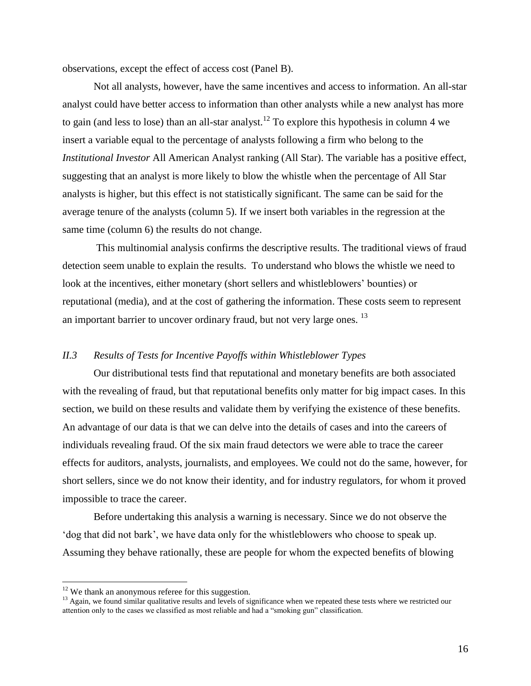observations, except the effect of access cost (Panel B).

Not all analysts, however, have the same incentives and access to information. An all-star analyst could have better access to information than other analysts while a new analyst has more to gain (and less to lose) than an all-star analyst.<sup>12</sup> To explore this hypothesis in column 4 we insert a variable equal to the percentage of analysts following a firm who belong to the *Institutional Investor* All American Analyst ranking (All Star). The variable has a positive effect, suggesting that an analyst is more likely to blow the whistle when the percentage of All Star analysts is higher, but this effect is not statistically significant. The same can be said for the average tenure of the analysts (column 5). If we insert both variables in the regression at the same time (column 6) the results do not change.

This multinomial analysis confirms the descriptive results. The traditional views of fraud detection seem unable to explain the results. To understand who blows the whistle we need to look at the incentives, either monetary (short sellers and whistleblowers" bounties) or reputational (media), and at the cost of gathering the information. These costs seem to represent an important barrier to uncover ordinary fraud, but not very large ones.<sup>13</sup>

## *II.3 Results of Tests for Incentive Payoffs within Whistleblower Types*

Our distributional tests find that reputational and monetary benefits are both associated with the revealing of fraud, but that reputational benefits only matter for big impact cases. In this section, we build on these results and validate them by verifying the existence of these benefits. An advantage of our data is that we can delve into the details of cases and into the careers of individuals revealing fraud. Of the six main fraud detectors we were able to trace the career effects for auditors, analysts, journalists, and employees. We could not do the same, however, for short sellers, since we do not know their identity, and for industry regulators, for whom it proved impossible to trace the career.

Before undertaking this analysis a warning is necessary. Since we do not observe the "dog that did not bark", we have data only for the whistleblowers who choose to speak up. Assuming they behave rationally, these are people for whom the expected benefits of blowing

 $\overline{a}$ 

 $12$  We thank an anonymous referee for this suggestion.

<sup>&</sup>lt;sup>13</sup> Again, we found similar qualitative results and levels of significance when we repeated these tests where we restricted our attention only to the cases we classified as most reliable and had a "smoking gun" classification.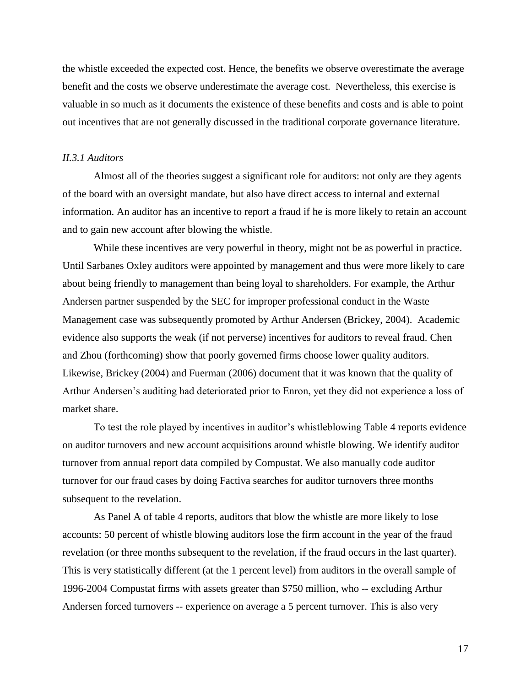the whistle exceeded the expected cost. Hence, the benefits we observe overestimate the average benefit and the costs we observe underestimate the average cost. Nevertheless, this exercise is valuable in so much as it documents the existence of these benefits and costs and is able to point out incentives that are not generally discussed in the traditional corporate governance literature.

### *II.3.1 Auditors*

Almost all of the theories suggest a significant role for auditors: not only are they agents of the board with an oversight mandate, but also have direct access to internal and external information. An auditor has an incentive to report a fraud if he is more likely to retain an account and to gain new account after blowing the whistle.

While these incentives are very powerful in theory, might not be as powerful in practice. Until Sarbanes Oxley auditors were appointed by management and thus were more likely to care about being friendly to management than being loyal to shareholders. For example, the Arthur Andersen partner suspended by the SEC for improper professional conduct in the Waste Management case was subsequently promoted by Arthur Andersen (Brickey, 2004). Academic evidence also supports the weak (if not perverse) incentives for auditors to reveal fraud. Chen and Zhou (forthcoming) show that poorly governed firms choose lower quality auditors. Likewise, Brickey (2004) and Fuerman (2006) document that it was known that the quality of Arthur Andersen"s auditing had deteriorated prior to Enron, yet they did not experience a loss of market share.

To test the role played by incentives in auditor's whistleblowing Table 4 reports evidence on auditor turnovers and new account acquisitions around whistle blowing. We identify auditor turnover from annual report data compiled by Compustat. We also manually code auditor turnover for our fraud cases by doing Factiva searches for auditor turnovers three months subsequent to the revelation.

As Panel A of table 4 reports, auditors that blow the whistle are more likely to lose accounts: 50 percent of whistle blowing auditors lose the firm account in the year of the fraud revelation (or three months subsequent to the revelation, if the fraud occurs in the last quarter). This is very statistically different (at the 1 percent level) from auditors in the overall sample of 1996-2004 Compustat firms with assets greater than \$750 million, who -- excluding Arthur Andersen forced turnovers -- experience on average a 5 percent turnover. This is also very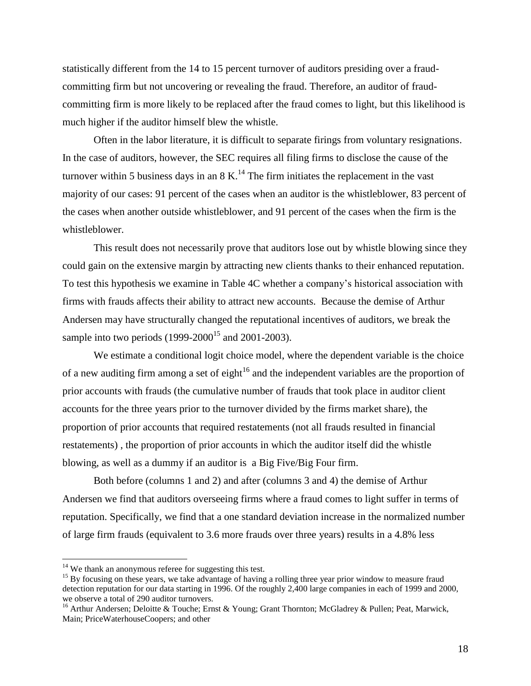statistically different from the 14 to 15 percent turnover of auditors presiding over a fraudcommitting firm but not uncovering or revealing the fraud. Therefore, an auditor of fraudcommitting firm is more likely to be replaced after the fraud comes to light, but this likelihood is much higher if the auditor himself blew the whistle.

Often in the labor literature, it is difficult to separate firings from voluntary resignations. In the case of auditors, however, the SEC requires all filing firms to disclose the cause of the turnover within 5 business days in an  $8 K<sup>14</sup>$ . The firm initiates the replacement in the vast majority of our cases: 91 percent of the cases when an auditor is the whistleblower, 83 percent of the cases when another outside whistleblower, and 91 percent of the cases when the firm is the whistleblower.

This result does not necessarily prove that auditors lose out by whistle blowing since they could gain on the extensive margin by attracting new clients thanks to their enhanced reputation. To test this hypothesis we examine in Table 4C whether a company"s historical association with firms with frauds affects their ability to attract new accounts. Because the demise of Arthur Andersen may have structurally changed the reputational incentives of auditors, we break the sample into two periods  $(1999-2000^{15})$  and  $2001-2003$ ).

We estimate a conditional logit choice model, where the dependent variable is the choice of a new auditing firm among a set of eight<sup>16</sup> and the independent variables are the proportion of prior accounts with frauds (the cumulative number of frauds that took place in auditor client accounts for the three years prior to the turnover divided by the firms market share), the proportion of prior accounts that required restatements (not all frauds resulted in financial restatements) , the proportion of prior accounts in which the auditor itself did the whistle blowing, as well as a dummy if an auditor is a Big Five/Big Four firm.

Both before (columns 1 and 2) and after (columns 3 and 4) the demise of Arthur Andersen we find that auditors overseeing firms where a fraud comes to light suffer in terms of reputation. Specifically, we find that a one standard deviation increase in the normalized number of large firm frauds (equivalent to 3.6 more frauds over three years) results in a 4.8% less

 $\overline{a}$ 

<sup>&</sup>lt;sup>14</sup> We thank an anonymous referee for suggesting this test.

<sup>&</sup>lt;sup>15</sup> By focusing on these years, we take advantage of having a rolling three year prior window to measure fraud detection reputation for our data starting in 1996. Of the roughly 2,400 large companies in each of 1999 and 2000, we observe a total of 290 auditor turnovers.

<sup>&</sup>lt;sup>16</sup> Arthur Andersen; Deloitte & Touche; Ernst & Young; Grant Thornton; McGladrey & Pullen; Peat, Marwick, Main; PriceWaterhouseCoopers; and other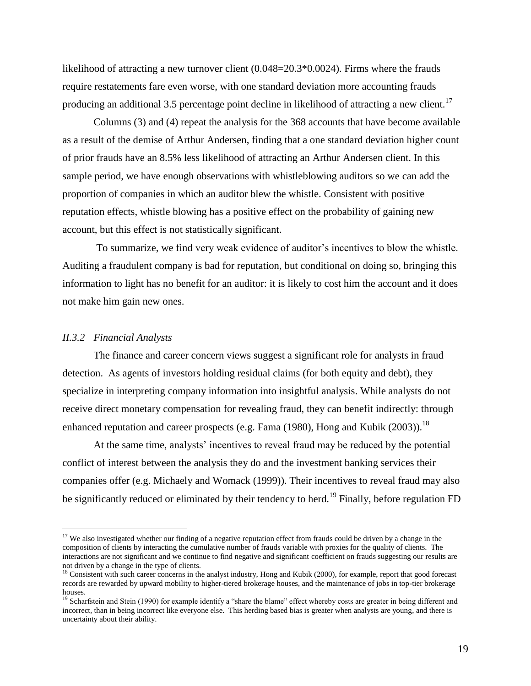likelihood of attracting a new turnover client (0.048=20.3 $*0.0024$ ). Firms where the frauds require restatements fare even worse, with one standard deviation more accounting frauds producing an additional 3.5 percentage point decline in likelihood of attracting a new client.<sup>17</sup>

Columns (3) and (4) repeat the analysis for the 368 accounts that have become available as a result of the demise of Arthur Andersen, finding that a one standard deviation higher count of prior frauds have an 8.5% less likelihood of attracting an Arthur Andersen client. In this sample period, we have enough observations with whistleblowing auditors so we can add the proportion of companies in which an auditor blew the whistle. Consistent with positive reputation effects, whistle blowing has a positive effect on the probability of gaining new account, but this effect is not statistically significant.

To summarize, we find very weak evidence of auditor"s incentives to blow the whistle. Auditing a fraudulent company is bad for reputation, but conditional on doing so, bringing this information to light has no benefit for an auditor: it is likely to cost him the account and it does not make him gain new ones.

## *II.3.2 Financial Analysts*

 $\overline{a}$ 

The finance and career concern views suggest a significant role for analysts in fraud detection. As agents of investors holding residual claims (for both equity and debt), they specialize in interpreting company information into insightful analysis. While analysts do not receive direct monetary compensation for revealing fraud, they can benefit indirectly: through enhanced reputation and career prospects (e.g. Fama (1980), Hong and Kubik (2003)).<sup>18</sup>

At the same time, analysts" incentives to reveal fraud may be reduced by the potential conflict of interest between the analysis they do and the investment banking services their companies offer (e.g. Michaely and Womack (1999)). Their incentives to reveal fraud may also be significantly reduced or eliminated by their tendency to herd.<sup>19</sup> Finally, before regulation FD

<sup>&</sup>lt;sup>17</sup> We also investigated whether our finding of a negative reputation effect from frauds could be driven by a change in the composition of clients by interacting the cumulative number of frauds variable with proxies for the quality of clients. The interactions are not significant and we continue to find negative and significant coefficient on frauds suggesting our results are not driven by a change in the type of clients.

 $18$  Consistent with such career concerns in the analyst industry, Hong and Kubik (2000), for example, report that good forecast records are rewarded by upward mobility to higher-tiered brokerage houses, and the maintenance of jobs in top-tier brokerage houses.

<sup>&</sup>lt;sup>19</sup> Scharfstein and Stein (1990) for example identify a "share the blame" effect whereby costs are greater in being different and incorrect, than in being incorrect like everyone else. This herding based bias is greater when analysts are young, and there is uncertainty about their ability.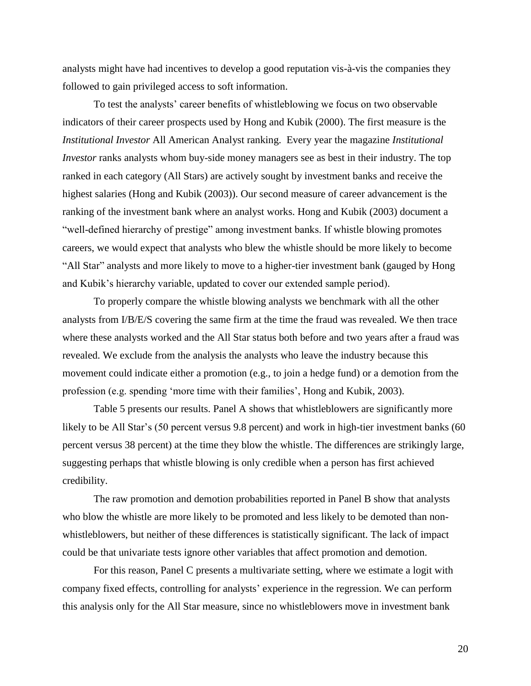analysts might have had incentives to develop a good reputation vis-à-vis the companies they followed to gain privileged access to soft information.

To test the analysts' career benefits of whistleblowing we focus on two observable indicators of their career prospects used by Hong and Kubik (2000). The first measure is the *Institutional Investor* All American Analyst ranking. Every year the magazine *Institutional Investor* ranks analysts whom buy-side money managers see as best in their industry. The top ranked in each category (All Stars) are actively sought by investment banks and receive the highest salaries (Hong and Kubik (2003)). Our second measure of career advancement is the ranking of the investment bank where an analyst works. Hong and Kubik (2003) document a "well-defined hierarchy of prestige" among investment banks. If whistle blowing promotes careers, we would expect that analysts who blew the whistle should be more likely to become "All Star" analysts and more likely to move to a higher-tier investment bank (gauged by Hong and Kubik"s hierarchy variable, updated to cover our extended sample period).

To properly compare the whistle blowing analysts we benchmark with all the other analysts from I/B/E/S covering the same firm at the time the fraud was revealed. We then trace where these analysts worked and the All Star status both before and two years after a fraud was revealed. We exclude from the analysis the analysts who leave the industry because this movement could indicate either a promotion (e.g., to join a hedge fund) or a demotion from the profession (e.g. spending "more time with their families", Hong and Kubik, 2003).

Table 5 presents our results. Panel A shows that whistleblowers are significantly more likely to be All Star's (50 percent versus 9.8 percent) and work in high-tier investment banks (60 percent versus 38 percent) at the time they blow the whistle. The differences are strikingly large, suggesting perhaps that whistle blowing is only credible when a person has first achieved credibility.

The raw promotion and demotion probabilities reported in Panel B show that analysts who blow the whistle are more likely to be promoted and less likely to be demoted than nonwhistleblowers, but neither of these differences is statistically significant. The lack of impact could be that univariate tests ignore other variables that affect promotion and demotion.

For this reason, Panel C presents a multivariate setting, where we estimate a logit with company fixed effects, controlling for analysts" experience in the regression. We can perform this analysis only for the All Star measure, since no whistleblowers move in investment bank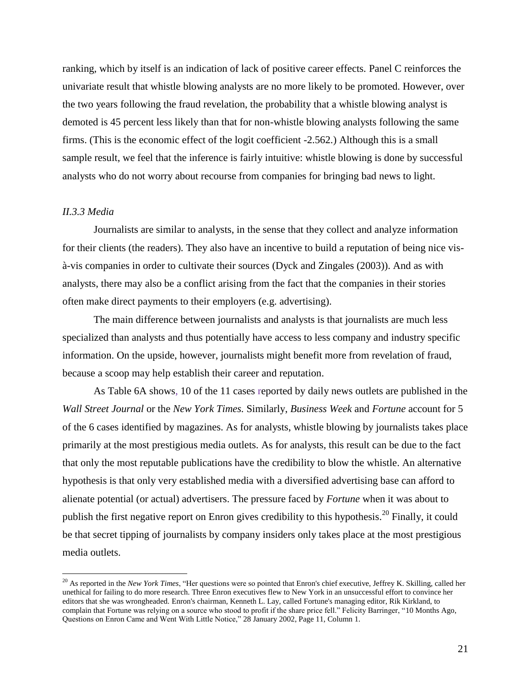ranking, which by itself is an indication of lack of positive career effects. Panel C reinforces the univariate result that whistle blowing analysts are no more likely to be promoted. However, over the two years following the fraud revelation, the probability that a whistle blowing analyst is demoted is 45 percent less likely than that for non-whistle blowing analysts following the same firms. (This is the economic effect of the logit coefficient -2.562.) Although this is a small sample result, we feel that the inference is fairly intuitive: whistle blowing is done by successful analysts who do not worry about recourse from companies for bringing bad news to light.

## *II.3.3 Media*

 $\overline{a}$ 

Journalists are similar to analysts, in the sense that they collect and analyze information for their clients (the readers). They also have an incentive to build a reputation of being nice visà-vis companies in order to cultivate their sources (Dyck and Zingales (2003)). And as with analysts, there may also be a conflict arising from the fact that the companies in their stories often make direct payments to their employers (e.g. advertising).

The main difference between journalists and analysts is that journalists are much less specialized than analysts and thus potentially have access to less company and industry specific information. On the upside, however, journalists might benefit more from revelation of fraud, because a scoop may help establish their career and reputation.

As Table 6A shows, 10 of the 11 cases reported by daily news outlets are published in the *Wall Street Journal* or the *New York Times.* Similarly, *Business Week* and *Fortune* account for 5 of the 6 cases identified by magazines. As for analysts, whistle blowing by journalists takes place primarily at the most prestigious media outlets. As for analysts, this result can be due to the fact that only the most reputable publications have the credibility to blow the whistle. An alternative hypothesis is that only very established media with a diversified advertising base can afford to alienate potential (or actual) advertisers. The pressure faced by *Fortune* when it was about to publish the first negative report on Enron gives credibility to this hypothesis.<sup>20</sup> Finally, it could be that secret tipping of journalists by company insiders only takes place at the most prestigious media outlets.

<sup>20</sup> As reported in the *New York Times*, "Her questions were so pointed that Enron's chief executive, Jeffrey K. Skilling, called her unethical for failing to do more research. Three Enron executives flew to New York in an unsuccessful effort to convince her editors that she was wrongheaded. Enron's chairman, Kenneth L. Lay, called Fortune's managing editor, Rik Kirkland, to complain that Fortune was relying on a source who stood to profit if the share price fell." Felicity Barringer, "10 Months Ago, Questions on Enron Came and Went With Little Notice," 28 January 2002, Page 11, Column 1.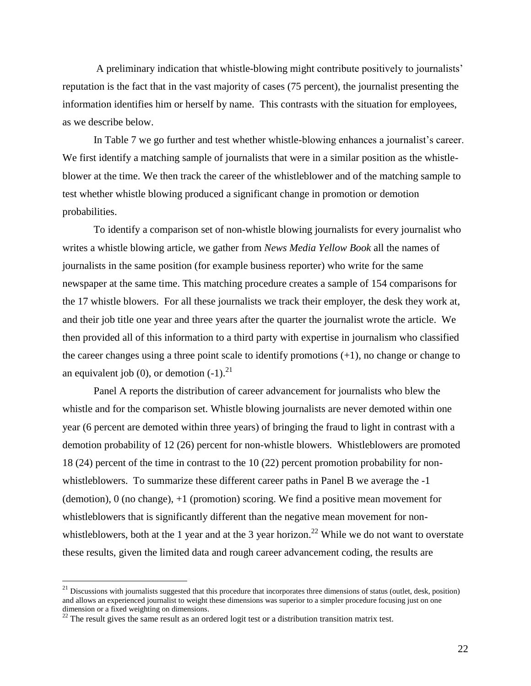A preliminary indication that whistle-blowing might contribute positively to journalists" reputation is the fact that in the vast majority of cases (75 percent), the journalist presenting the information identifies him or herself by name. This contrasts with the situation for employees, as we describe below.

In Table 7 we go further and test whether whistle-blowing enhances a journalist's career. We first identify a matching sample of journalists that were in a similar position as the whistleblower at the time. We then track the career of the whistleblower and of the matching sample to test whether whistle blowing produced a significant change in promotion or demotion probabilities.

To identify a comparison set of non-whistle blowing journalists for every journalist who writes a whistle blowing article, we gather from *News Media Yellow Book* all the names of journalists in the same position (for example business reporter) who write for the same newspaper at the same time. This matching procedure creates a sample of 154 comparisons for the 17 whistle blowers. For all these journalists we track their employer, the desk they work at, and their job title one year and three years after the quarter the journalist wrote the article. We then provided all of this information to a third party with expertise in journalism who classified the career changes using a three point scale to identify promotions (+1), no change or change to an equivalent job (0), or demotion  $(-1)^{21}$ 

Panel A reports the distribution of career advancement for journalists who blew the whistle and for the comparison set. Whistle blowing journalists are never demoted within one year (6 percent are demoted within three years) of bringing the fraud to light in contrast with a demotion probability of 12 (26) percent for non-whistle blowers. Whistleblowers are promoted 18 (24) percent of the time in contrast to the 10 (22) percent promotion probability for nonwhistleblowers. To summarize these different career paths in Panel B we average the -1 (demotion),  $0$  (no change),  $+1$  (promotion) scoring. We find a positive mean movement for whistleblowers that is significantly different than the negative mean movement for nonwhistleblowers, both at the 1 year and at the 3 year horizon.<sup>22</sup> While we do not want to overstate these results, given the limited data and rough career advancement coding, the results are

 $\overline{a}$ 

 $21$  Discussions with journalists suggested that this procedure that incorporates three dimensions of status (outlet, desk, position) and allows an experienced journalist to weight these dimensions was superior to a simpler procedure focusing just on one dimension or a fixed weighting on dimensions.

 $22$  The result gives the same result as an ordered logit test or a distribution transition matrix test.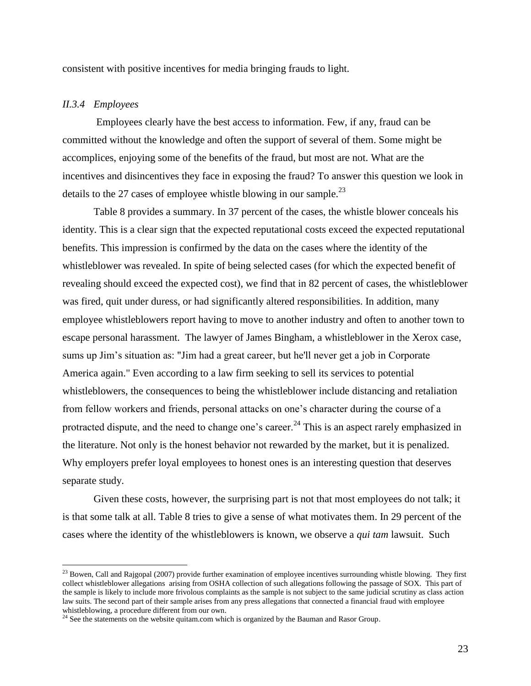consistent with positive incentives for media bringing frauds to light.

## *II.3.4 Employees*

 $\overline{a}$ 

Employees clearly have the best access to information. Few, if any, fraud can be committed without the knowledge and often the support of several of them. Some might be accomplices, enjoying some of the benefits of the fraud, but most are not. What are the incentives and disincentives they face in exposing the fraud? To answer this question we look in details to the 27 cases of employee whistle blowing in our sample.<sup>23</sup>

Table 8 provides a summary. In 37 percent of the cases, the whistle blower conceals his identity. This is a clear sign that the expected reputational costs exceed the expected reputational benefits. This impression is confirmed by the data on the cases where the identity of the whistleblower was revealed. In spite of being selected cases (for which the expected benefit of revealing should exceed the expected cost), we find that in 82 percent of cases, the whistleblower was fired, quit under duress, or had significantly altered responsibilities. In addition, many employee whistleblowers report having to move to another industry and often to another town to escape personal harassment. The lawyer of James Bingham, a whistleblower in the Xerox case, sums up Jim"s situation as: "Jim had a great career, but he'll never get a job in Corporate America again." Even according to a law firm seeking to sell its services to potential whistleblowers, the consequences to being the whistleblower include distancing and retaliation from fellow workers and friends, personal attacks on one"s character during the course of a protracted dispute, and the need to change one's career.<sup>24</sup> This is an aspect rarely emphasized in the literature. Not only is the honest behavior not rewarded by the market, but it is penalized. Why employers prefer loyal employees to honest ones is an interesting question that deserves separate study.

Given these costs, however, the surprising part is not that most employees do not talk; it is that some talk at all. Table 8 tries to give a sense of what motivates them. In 29 percent of the cases where the identity of the whistleblowers is known, we observe a *qui tam* lawsuit. Such

 $^{23}$  Bowen. Call and Rajgopal (2007) provide further examination of employee incentives surrounding whistle blowing. They first collect whistleblower allegations arising from OSHA collection of such allegations following the passage of SOX. This part of the sample is likely to include more frivolous complaints as the sample is not subject to the same judicial scrutiny as class action law suits. The second part of their sample arises from any press allegations that connected a financial fraud with employee whistleblowing, a procedure different from our own.

<sup>&</sup>lt;sup>24</sup> See the statements on the website quitam.com which is organized by the Bauman and Rasor Group.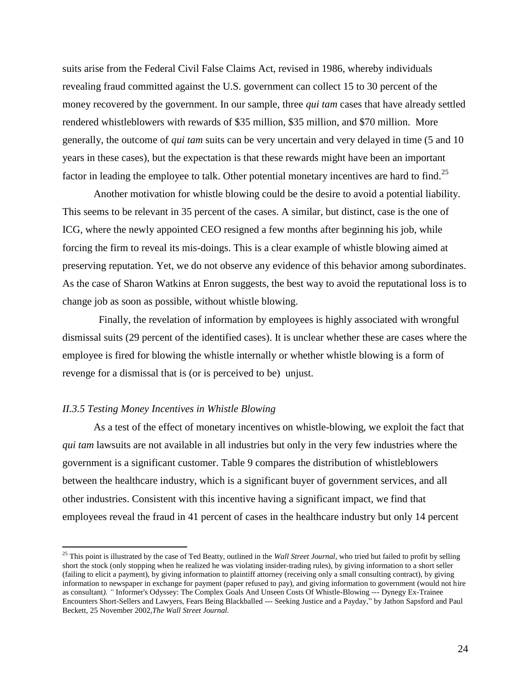suits arise from the Federal Civil False Claims Act, revised in 1986, whereby individuals revealing fraud committed against the U.S. government can collect 15 to 30 percent of the money recovered by the government. In our sample, three *qui tam* cases that have already settled rendered whistleblowers with rewards of \$35 million, \$35 million, and \$70 million. More generally, the outcome of *qui tam* suits can be very uncertain and very delayed in time (5 and 10 years in these cases), but the expectation is that these rewards might have been an important factor in leading the employee to talk. Other potential monetary incentives are hard to find.<sup>25</sup>

Another motivation for whistle blowing could be the desire to avoid a potential liability. This seems to be relevant in 35 percent of the cases. A similar, but distinct, case is the one of ICG, where the newly appointed CEO resigned a few months after beginning his job, while forcing the firm to reveal its mis-doings. This is a clear example of whistle blowing aimed at preserving reputation. Yet, we do not observe any evidence of this behavior among subordinates. As the case of Sharon Watkins at Enron suggests, the best way to avoid the reputational loss is to change job as soon as possible, without whistle blowing.

 Finally, the revelation of information by employees is highly associated with wrongful dismissal suits (29 percent of the identified cases). It is unclear whether these are cases where the employee is fired for blowing the whistle internally or whether whistle blowing is a form of revenge for a dismissal that is (or is perceived to be) unjust.

## *II.3.5 Testing Money Incentives in Whistle Blowing*

 $\overline{a}$ 

As a test of the effect of monetary incentives on whistle-blowing, we exploit the fact that *qui tam* lawsuits are not available in all industries but only in the very few industries where the government is a significant customer. Table 9 compares the distribution of whistleblowers between the healthcare industry, which is a significant buyer of government services, and all other industries. Consistent with this incentive having a significant impact, we find that employees reveal the fraud in 41 percent of cases in the healthcare industry but only 14 percent

<sup>25</sup> This point is illustrated by the case of Ted Beatty, outlined in the *Wall Street Journal*, who tried but failed to profit by selling short the stock (only stopping when he realized he was violating insider-trading rules), by giving information to a short seller (failing to elicit a payment), by giving information to plaintiff attorney (receiving only a small consulting contract), by giving information to newspaper in exchange for payment (paper refused to pay), and giving information to government (would not hire as consultant*). "* Informer's Odyssey: The Complex Goals And Unseen Costs Of Whistle-Blowing --- Dynegy Ex-Trainee Encounters Short-Sellers and Lawyers, Fears Being Blackballed --- Seeking Justice and a Payday," by Jathon Sapsford and Paul Beckett, 25 November 2002*,The Wall Street Journal.*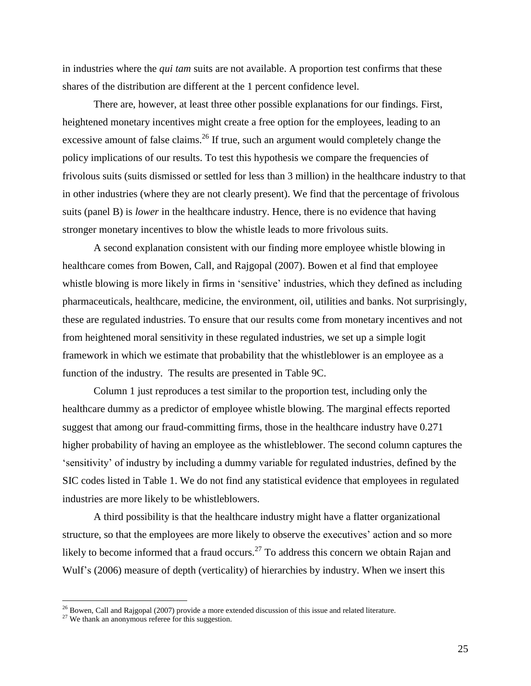in industries where the *qui tam* suits are not available. A proportion test confirms that these shares of the distribution are different at the 1 percent confidence level.

There are, however, at least three other possible explanations for our findings. First, heightened monetary incentives might create a free option for the employees, leading to an excessive amount of false claims.<sup>26</sup> If true, such an argument would completely change the policy implications of our results. To test this hypothesis we compare the frequencies of frivolous suits (suits dismissed or settled for less than 3 million) in the healthcare industry to that in other industries (where they are not clearly present). We find that the percentage of frivolous suits (panel B) is *lower* in the healthcare industry. Hence, there is no evidence that having stronger monetary incentives to blow the whistle leads to more frivolous suits.

A second explanation consistent with our finding more employee whistle blowing in healthcare comes from Bowen, Call, and Rajgopal (2007). Bowen et al find that employee whistle blowing is more likely in firms in 'sensitive' industries, which they defined as including pharmaceuticals, healthcare, medicine, the environment, oil, utilities and banks. Not surprisingly, these are regulated industries. To ensure that our results come from monetary incentives and not from heightened moral sensitivity in these regulated industries, we set up a simple logit framework in which we estimate that probability that the whistleblower is an employee as a function of the industry. The results are presented in Table 9C.

Column 1 just reproduces a test similar to the proportion test, including only the healthcare dummy as a predictor of employee whistle blowing. The marginal effects reported suggest that among our fraud-committing firms, those in the healthcare industry have 0.271 higher probability of having an employee as the whistleblower. The second column captures the "sensitivity" of industry by including a dummy variable for regulated industries, defined by the SIC codes listed in Table 1. We do not find any statistical evidence that employees in regulated industries are more likely to be whistleblowers.

A third possibility is that the healthcare industry might have a flatter organizational structure, so that the employees are more likely to observe the executives" action and so more likely to become informed that a fraud occurs.<sup>27</sup> To address this concern we obtain Rajan and Wulf"s (2006) measure of depth (verticality) of hierarchies by industry. When we insert this

 $\overline{a}$ 

 $^{26}$  Bowen, Call and Rajgopal (2007) provide a more extended discussion of this issue and related literature.

<sup>&</sup>lt;sup>27</sup> We thank an anonymous referee for this suggestion.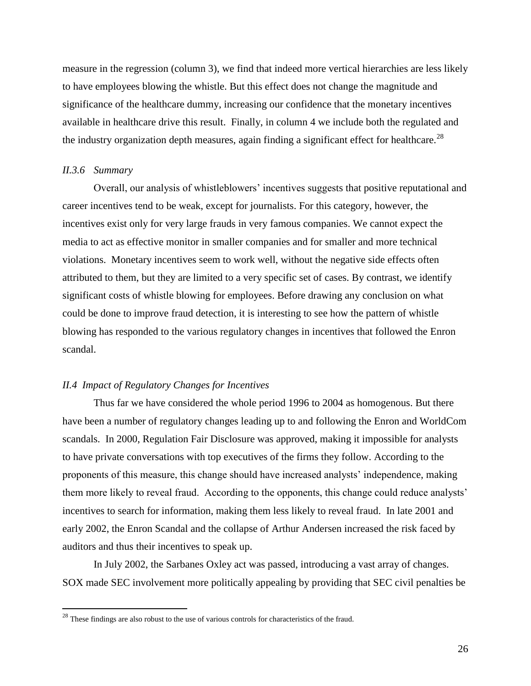measure in the regression (column 3), we find that indeed more vertical hierarchies are less likely to have employees blowing the whistle. But this effect does not change the magnitude and significance of the healthcare dummy, increasing our confidence that the monetary incentives available in healthcare drive this result. Finally, in column 4 we include both the regulated and the industry organization depth measures, again finding a significant effect for healthcare.<sup>28</sup>

## *II.3.6 Summary*

 $\overline{a}$ 

Overall, our analysis of whistleblowers' incentives suggests that positive reputational and career incentives tend to be weak, except for journalists. For this category, however, the incentives exist only for very large frauds in very famous companies. We cannot expect the media to act as effective monitor in smaller companies and for smaller and more technical violations. Monetary incentives seem to work well, without the negative side effects often attributed to them, but they are limited to a very specific set of cases. By contrast, we identify significant costs of whistle blowing for employees. Before drawing any conclusion on what could be done to improve fraud detection, it is interesting to see how the pattern of whistle blowing has responded to the various regulatory changes in incentives that followed the Enron scandal.

## *II.4 Impact of Regulatory Changes for Incentives*

Thus far we have considered the whole period 1996 to 2004 as homogenous. But there have been a number of regulatory changes leading up to and following the Enron and WorldCom scandals. In 2000, Regulation Fair Disclosure was approved, making it impossible for analysts to have private conversations with top executives of the firms they follow. According to the proponents of this measure, this change should have increased analysts" independence, making them more likely to reveal fraud. According to the opponents, this change could reduce analysts" incentives to search for information, making them less likely to reveal fraud. In late 2001 and early 2002, the Enron Scandal and the collapse of Arthur Andersen increased the risk faced by auditors and thus their incentives to speak up.

In July 2002, the Sarbanes Oxley act was passed, introducing a vast array of changes. SOX made SEC involvement more politically appealing by providing that SEC civil penalties be

 $28$  These findings are also robust to the use of various controls for characteristics of the fraud.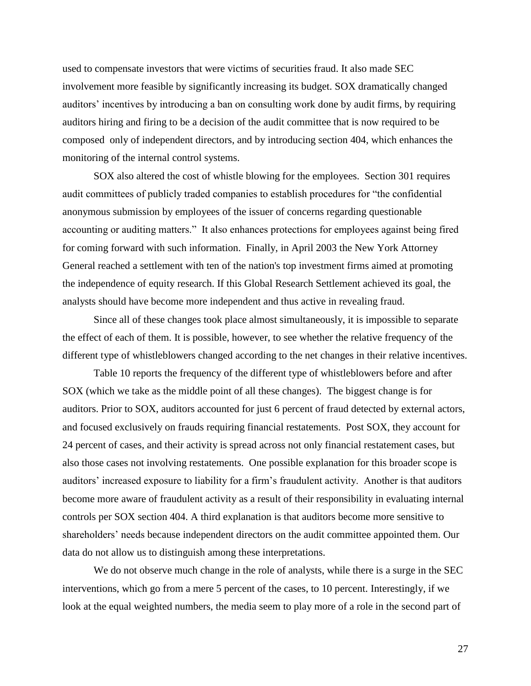used to compensate investors that were victims of securities fraud. It also made SEC involvement more feasible by significantly increasing its budget. SOX dramatically changed auditors' incentives by introducing a ban on consulting work done by audit firms, by requiring auditors hiring and firing to be a decision of the audit committee that is now required to be composed only of independent directors, and by introducing section 404, which enhances the monitoring of the internal control systems.

SOX also altered the cost of whistle blowing for the employees. Section 301 requires audit committees of publicly traded companies to establish procedures for "the confidential anonymous submission by employees of the issuer of concerns regarding questionable accounting or auditing matters." It also enhances protections for employees against being fired for coming forward with such information. Finally, in April 2003 the New York Attorney General reached a settlement with ten of the nation's top investment firms aimed at promoting the independence of equity research. If this Global Research Settlement achieved its goal, the analysts should have become more independent and thus active in revealing fraud.

Since all of these changes took place almost simultaneously, it is impossible to separate the effect of each of them. It is possible, however, to see whether the relative frequency of the different type of whistleblowers changed according to the net changes in their relative incentives.

Table 10 reports the frequency of the different type of whistleblowers before and after SOX (which we take as the middle point of all these changes). The biggest change is for auditors. Prior to SOX, auditors accounted for just 6 percent of fraud detected by external actors, and focused exclusively on frauds requiring financial restatements. Post SOX, they account for 24 percent of cases, and their activity is spread across not only financial restatement cases, but also those cases not involving restatements. One possible explanation for this broader scope is auditors' increased exposure to liability for a firm's fraudulent activity. Another is that auditors become more aware of fraudulent activity as a result of their responsibility in evaluating internal controls per SOX section 404. A third explanation is that auditors become more sensitive to shareholders' needs because independent directors on the audit committee appointed them. Our data do not allow us to distinguish among these interpretations.

We do not observe much change in the role of analysts, while there is a surge in the SEC interventions, which go from a mere 5 percent of the cases, to 10 percent. Interestingly, if we look at the equal weighted numbers, the media seem to play more of a role in the second part of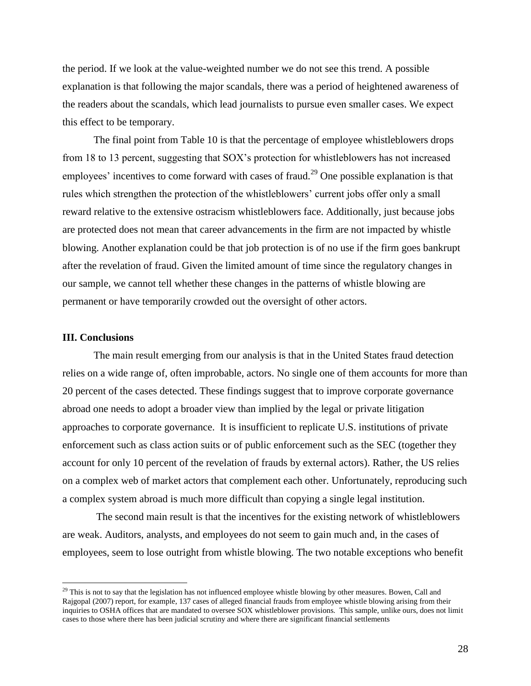the period. If we look at the value-weighted number we do not see this trend. A possible explanation is that following the major scandals, there was a period of heightened awareness of the readers about the scandals, which lead journalists to pursue even smaller cases. We expect this effect to be temporary.

The final point from Table 10 is that the percentage of employee whistleblowers drops from 18 to 13 percent, suggesting that SOX"s protection for whistleblowers has not increased employees' incentives to come forward with cases of fraud.<sup>29</sup> One possible explanation is that rules which strengthen the protection of the whistleblowers' current jobs offer only a small reward relative to the extensive ostracism whistleblowers face. Additionally, just because jobs are protected does not mean that career advancements in the firm are not impacted by whistle blowing. Another explanation could be that job protection is of no use if the firm goes bankrupt after the revelation of fraud. Given the limited amount of time since the regulatory changes in our sample, we cannot tell whether these changes in the patterns of whistle blowing are permanent or have temporarily crowded out the oversight of other actors.

### **III. Conclusions**

 $\overline{a}$ 

The main result emerging from our analysis is that in the United States fraud detection relies on a wide range of, often improbable, actors. No single one of them accounts for more than 20 percent of the cases detected. These findings suggest that to improve corporate governance abroad one needs to adopt a broader view than implied by the legal or private litigation approaches to corporate governance. It is insufficient to replicate U.S. institutions of private enforcement such as class action suits or of public enforcement such as the SEC (together they account for only 10 percent of the revelation of frauds by external actors). Rather, the US relies on a complex web of market actors that complement each other. Unfortunately, reproducing such a complex system abroad is much more difficult than copying a single legal institution.

The second main result is that the incentives for the existing network of whistleblowers are weak. Auditors, analysts, and employees do not seem to gain much and, in the cases of employees, seem to lose outright from whistle blowing. The two notable exceptions who benefit

 $29$  This is not to say that the legislation has not influenced employee whistle blowing by other measures. Bowen, Call and Rajgopal (2007) report, for example, 137 cases of alleged financial frauds from employee whistle blowing arising from their inquiries to OSHA offices that are mandated to oversee SOX whistleblower provisions. This sample, unlike ours, does not limit cases to those where there has been judicial scrutiny and where there are significant financial settlements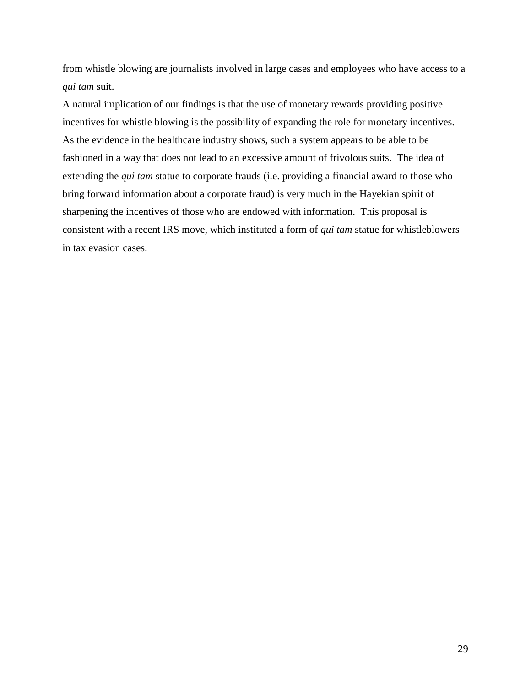from whistle blowing are journalists involved in large cases and employees who have access to a *qui tam* suit.

A natural implication of our findings is that the use of monetary rewards providing positive incentives for whistle blowing is the possibility of expanding the role for monetary incentives. As the evidence in the healthcare industry shows, such a system appears to be able to be fashioned in a way that does not lead to an excessive amount of frivolous suits. The idea of extending the *qui tam* statue to corporate frauds (i.e. providing a financial award to those who bring forward information about a corporate fraud) is very much in the Hayekian spirit of sharpening the incentives of those who are endowed with information. This proposal is consistent with a recent IRS move, which instituted a form of *qui tam* statue for whistleblowers in tax evasion cases.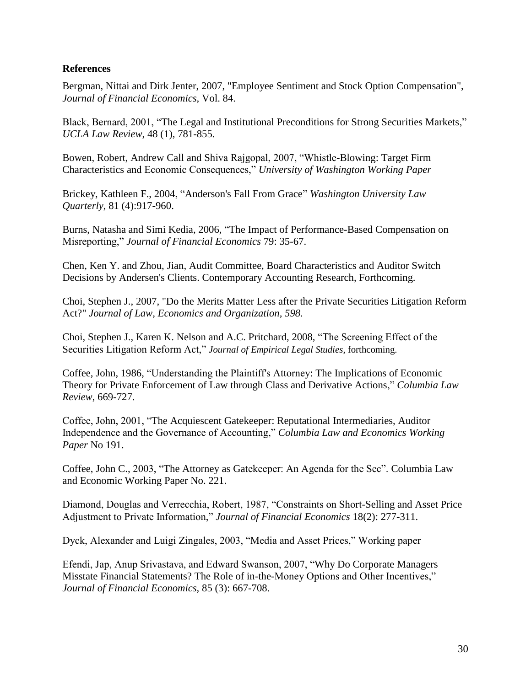## **References**

Bergman, Nittai and Dirk Jenter, 2007, ["Employee Sentiment and Stock Option Compensation"](http://scripts.mit.edu/~nbergman/docs/Employee-Sentiment.pdf), *Journal of Financial Economics,* Vol. 84.

Black, Bernard, 2001, "The Legal and Institutional Preconditions for Strong Securities Markets," *UCLA Law Review*, 48 (1), 781-855.

Bowen, Robert, Andrew Call and Shiva Rajgopal, 2007, "Whistle-Blowing: Target Firm Characteristics and Economic Consequences," *University of Washington Working Paper*

Brickey, Kathleen F., 2004, "Anderson's Fall From Grace" *Washington University Law Quarterly*, 81 (4):917-960.

Burns, Natasha and Simi Kedia, 2006, "The Impact of Performance-Based Compensation on Misreporting," *Journal of Financial Economics* 79: 35-67.

Chen, Ken Y. and Zhou, Jian, Audit Committee, Board Characteristics and Auditor Switch Decisions by Andersen's Clients. Contemporary Accounting Research, Forthcoming.

Choi, Stephen J., 2007, "Do the Merits Matter Less after the Private Securities Litigation Reform Act?" *Journal of Law, Economics and Organization, 598.*

Choi, Stephen J., Karen K. Nelson and A.C. Pritchard, 2008, "The Screening Effect of the Securities Litigation Reform Act," *Journal of Empirical Legal Studies*, forthcoming.

Coffee, John, 1986, "Understanding the Plaintiff's Attorney: The Implications of Economic Theory for Private Enforcement of Law through Class and Derivative Actions," *Columbia Law Review*, 669-727.

Coffee, John, 2001, "The Acquiescent Gatekeeper: Reputational Intermediaries, Auditor Independence and the Governance of Accounting," *Columbia Law and Economics Working Paper* No 191.

Coffee, John C., 2003, "The Attorney as Gatekeeper: An Agenda for the Sec". Columbia Law and Economic Working Paper No. 221.

Diamond, Douglas and Verrecchia, Robert, 1987, "Constraints on Short-Selling and Asset Price Adjustment to Private Information," *Journal of Financial Economics* 18(2): 277-311.

Dyck, Alexander and Luigi Zingales, 2003, "Media and Asset Prices," Working paper

Efendi, Jap, Anup Srivastava, and Edward Swanson, 2007, "Why Do Corporate Managers Misstate Financial Statements? The Role of in-the-Money Options and Other Incentives," *Journal of Financial Economics,* 85 (3): 667-708.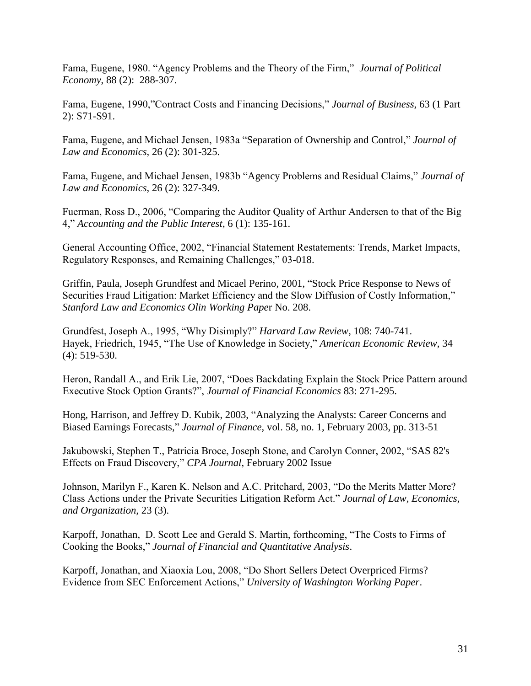Fama, Eugene, 1980. "Agency Problems and the Theory of the Firm," *Journal of Political Economy*, 88 (2): 288-307.

Fama, Eugene, 1990,"Contract Costs and Financing Decisions," *J*o*urnal of Business*, 63 (1 Part 2): S71-S91.

Fama, Eugene, and Michael Jensen, 1983a ["Separation of Ownership and Control,](http://www.jstor.org/stable/725104)" *[Journal of](http://www.jstor.org/action/showPublication?journalCode=jlaweconomics)  [Law and Economics](http://www.jstor.org/action/showPublication?journalCode=jlaweconomics)*, 26 (2): 301-325.

Fama, Eugene, and Michael Jensen, 1983b ["Agency](http://www.jstor.org/stable/725104) Problems and Residual Claims," *[Journal of](http://www.jstor.org/action/showPublication?journalCode=jlaweconomics)  [Law and Economics](http://www.jstor.org/action/showPublication?journalCode=jlaweconomics)*, 26 (2): 327-349.

Fuerman, Ross D., 2006, "Comparing the Auditor Quality of Arthur Andersen to that of the Big 4," *Accounting and the Public Interest*, 6 (1): 135-161.

General Accounting Office, 2002, "Financial Statement Restatements: Trends, Market Impacts, Regulatory Responses, and Remaining Challenges," 03-018.

Griffin, Paula, Joseph Grundfest and Micael Perino, 2001, "Stock Price Response to News of Securities Fraud Litigation: Market Efficiency and the Slow Diffusion of Costly Information," *Stanford Law and Economics Olin Working Pape*r No. 208.

Grundfest, Joseph A., 1995, "Why Disimply?" *Harvard Law Review*, 108: 740-741. Hayek, Friedrich, 1945, "The Use of Knowledge in Society," *American Economic Review*, 34 (4): 519-530.

Heron, Randall A., and Erik Lie, 2007, "Does Backdating Explain the Stock Price Pattern around Executive Stock Option Grants?", *Journal of Financial Economics* 83: 271-295.

Hong, Harrison, and Jeffrey D. Kubik, 2003, "Analyzing the Analysts: Career Concerns and Biased Earnings Forecasts," *Journal of Finance*, vol. 58, no. 1, February 2003, pp. 313-51

Jakubowski, Stephen T., Patricia Broce, Joseph Stone, and Carolyn Conner, 2002, "SAS 82's Effects on Fraud Discovery," *CPA Journal*, February 2002 Issue

Johnson, Marilyn F., Karen K. Nelson and A.C. Pritchard, 2003, "Do the Merits Matter More? Class Actions under the Private Securities Litigation Reform Act." *Journal of Law, Economics, and Organization,* 23 (3).

Karpoff, Jonathan, D. Scott Lee and Gerald S. Martin, forthcoming, "The Costs to Firms of Cooking the Books," *Journal of Financial and Quantitative Analysis*.

Karpoff, Jonathan, and Xiaoxia Lou, 2008, "Do Short Sellers Detect Overpriced Firms? Evidence from SEC Enforcement Actions," *University of Washington Working Paper*.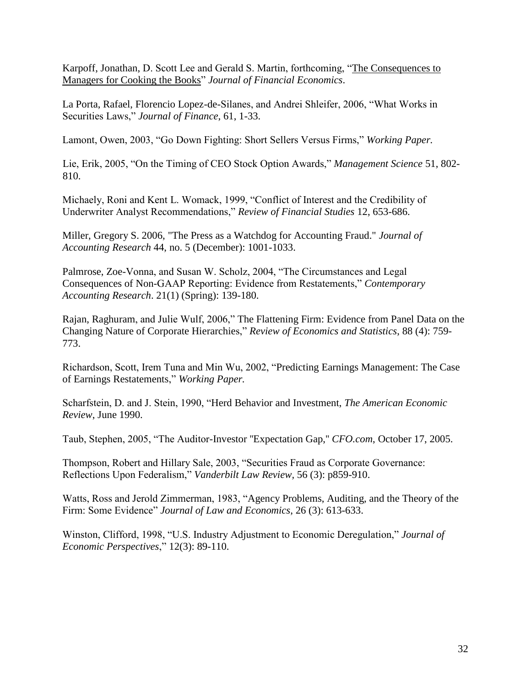Karpoff, Jonathan, D. Scott Lee and Gerald S. Martin, forthcoming, ["The Consequences to](http://papers.ssrn.com/sol3/papers.cfm?abstract_id=1012730)  [Managers for Cooking the Books"](http://papers.ssrn.com/sol3/papers.cfm?abstract_id=1012730) *Journal of Financial Economics*.

La Porta, Rafael, Florencio Lopez-de-Silanes, and Andrei Shleifer, 2006, "What Works in Securities Laws," *Journal of Finance*, 61, 1-33.

Lamont, Owen, 2003, "Go Down Fighting: Short Sellers Versus Firms," *Working Paper.*

Lie, Erik, 2005, "On the Timing of CEO Stock Option Awards," *Management Science* 51, 802- 810.

Michaely, Roni and Kent L. Womack, 1999, "Conflict of Interest and the Credibility of Underwriter Analyst Recommendations," *Review of Financial Studies* 12, 653-686.

Miller, Gregory S. 2006, "The Press as a Watchdog for Accounting Fraud." *Journal of Accounting Research* 44, no. 5 (December): 1001-1033.

Palmrose, Zoe-Vonna, and Susan W. Scholz, 2004, "The Circumstances and Legal Consequences of Non-GAAP Reporting: Evidence from Restatements," *Contemporary Accounting Research*. 21(1) (Spring): 139-180.

Rajan, Raghuram, and Julie Wulf, 2006," The Flattening Firm: Evidence from Panel Data on the Changing Nature of Corporate Hierarchies," *Review of Economics and Statistics*, 88 (4): 759- 773.

Richardson, Scott, Irem Tuna and Min Wu, 2002, "Predicting Earnings Management: The Case of Earnings Restatements," *Working Paper.*

Scharfstein, D. and J. Stein, 1990, "Herd Behavior and Investment, *The American Economic Review*, June 1990.

Taub, Stephen, 2005, "The Auditor-Investor ''Expectation Gap,'' *CFO.com*, October 17, 2005.

Thompson, Robert and Hillary Sale, 2003, "Securities Fraud as Corporate Governance: Reflections Upon Federalism," *Vanderbilt Law Review,* 56 (3): p859-910.

Watts, Ross and Jerold Zimmerman, 1983, "Agency Problems, Auditing, and the Theory of the Firm: Some Evidence" *Journal of Law and Economics*, 26 (3): 613-633.

Winston, Clifford, 1998, "U.S. Industry Adjustment to Economic Deregulation," *Journal of Economic Perspectives*," 12(3): 89-110.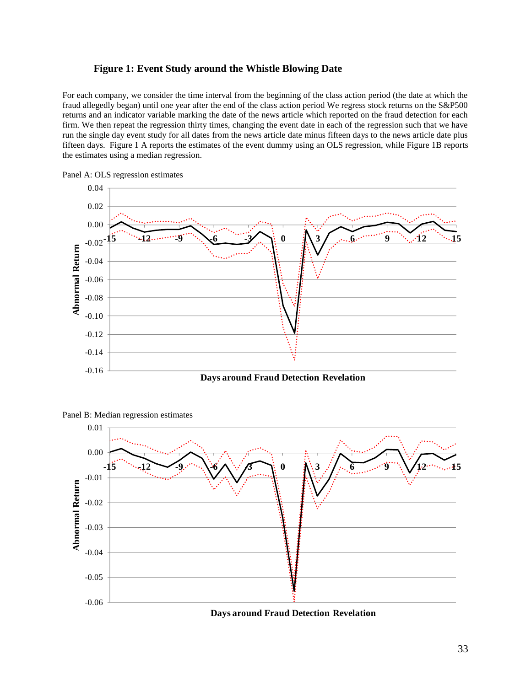## **Figure 1: Event Study around the Whistle Blowing Date**

For each company, we consider the time interval from the beginning of the class action period (the date at which the fraud allegedly began) until one year after the end of the class action period We regress stock returns on the S&P500 returns and an indicator variable marking the date of the news article which reported on the fraud detection for each firm. We then repeat the regression thirty times, changing the event date in each of the regression such that we have run the single day event study for all dates from the news article date minus fifteen days to the news article date plus fifteen days. Figure 1 A reports the estimates of the event dummy using an OLS regression, while Figure 1B reports the estimates using a median regression.







Panel B: Median regression estimates

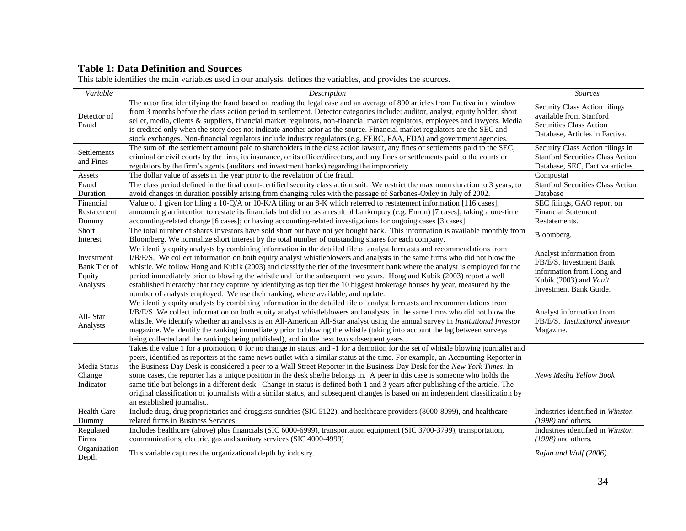## **Table 1: Data Definition and Sources**

This table identifies the main variables used in our analysis, defines the variables, and provides the sources.

| Variable                                         | <b>Description</b>                                                                                                                                                                                                                                                                                                                                                                                                                                                                                                                                                                                                                                                                                                                                                                                                                   | Sources                                                                                                                                      |
|--------------------------------------------------|--------------------------------------------------------------------------------------------------------------------------------------------------------------------------------------------------------------------------------------------------------------------------------------------------------------------------------------------------------------------------------------------------------------------------------------------------------------------------------------------------------------------------------------------------------------------------------------------------------------------------------------------------------------------------------------------------------------------------------------------------------------------------------------------------------------------------------------|----------------------------------------------------------------------------------------------------------------------------------------------|
| Detector of<br>Fraud                             | The actor first identifying the fraud based on reading the legal case and an average of 800 articles from Factiva in a window<br>from 3 months before the class action period to settlement. Detector categories include: auditor, analyst, equity holder, short<br>seller, media, clients & suppliers, financial market regulators, non-financial market regulators, employees and lawyers. Media<br>is credited only when the story does not indicate another actor as the source. Financial market regulators are the SEC and<br>stock exchanges. Non-financial regulators include industry regulators (e.g. FERC, FAA, FDA) and government agencies.                                                                                                                                                                             | Security Class Action filings<br>available from Stanford<br>Securities Class Action<br>Database, Articles in Factiva.                        |
| Settlements<br>and Fines                         | The sum of the settlement amount paid to shareholders in the class action lawsuit, any fines or settlements paid to the SEC,<br>criminal or civil courts by the firm, its insurance, or its officer/directors, and any fines or settlements paid to the courts or<br>regulators by the firm's agents (auditors and investment banks) regarding the impropriety.                                                                                                                                                                                                                                                                                                                                                                                                                                                                      | Security Class Action filings in<br><b>Stanford Securities Class Action</b><br>Database, SEC, Factiva articles.                              |
| Assets                                           | The dollar value of assets in the year prior to the revelation of the fraud.                                                                                                                                                                                                                                                                                                                                                                                                                                                                                                                                                                                                                                                                                                                                                         | Compustat                                                                                                                                    |
| Fraud<br>Duration                                | The class period defined in the final court-certified security class action suit. We restrict the maximum duration to 3 years, to<br>avoid changes in duration possibly arising from changing rules with the passage of Sarbanes-Oxley in July of 2002.                                                                                                                                                                                                                                                                                                                                                                                                                                                                                                                                                                              | <b>Stanford Securities Class Action</b><br>Database                                                                                          |
| Financial<br>Restatement<br>Dummy                | Value of 1 given for filing a 10-Q/A or 10-K/A filing or an 8-K which referred to restatement information [116 cases];<br>announcing an intention to restate its financials but did not as a result of bankruptcy (e.g. Enron) [7 cases]; taking a one-time<br>accounting-related charge [6 cases]; or having accounting-related investigations for ongoing cases [3 cases].                                                                                                                                                                                                                                                                                                                                                                                                                                                         | SEC filings, GAO report on<br><b>Financial Statement</b><br>Restatements.                                                                    |
| Short<br>Interest                                | The total number of shares investors have sold short but have not yet bought back. This information is available monthly from<br>Bloomberg. We normalize short interest by the total number of outstanding shares for each company.                                                                                                                                                                                                                                                                                                                                                                                                                                                                                                                                                                                                  | Bloomberg.                                                                                                                                   |
| Investment<br>Bank Tier of<br>Equity<br>Analysts | We identify equity analysts by combining information in the detailed file of analyst forecasts and recommendations from<br>I/B/E/S. We collect information on both equity analyst whistleblowers and analysts in the same firms who did not blow the<br>whistle. We follow Hong and Kubik (2003) and classify the tier of the investment bank where the analyst is employed for the<br>period immediately prior to blowing the whistle and for the subsequent two years. Hong and Kubik (2003) report a well<br>established hierarchy that they capture by identifying as top tier the 10 biggest brokerage houses by year, measured by the<br>number of analysts employed. We use their ranking, where available, and update.                                                                                                       | Analyst information from<br>I/B/E/S. Investment Bank<br>information from Hong and<br>Kubik (2003) and Vault<br><b>Investment Bank Guide.</b> |
| All-Star<br>Analysts                             | We identify equity analysts by combining information in the detailed file of analyst forecasts and recommendations from<br>I/B/E/S. We collect information on both equity analyst whistleblowers and analysts in the same firms who did not blow the<br>whistle. We identify whether an analysis is an All-American All-Star analyst using the annual survey in Institutional Investor<br>magazine. We identify the ranking immediately prior to blowing the whistle (taking into account the lag between surveys<br>being collected and the rankings being published), and in the next two subsequent years.                                                                                                                                                                                                                        | Analyst information from<br>I/B/E/S. Institutional Investor<br>Magazine.                                                                     |
| Media Status<br>Change<br>Indicator              | Takes the value 1 for a promotion, 0 for no change in status, and -1 for a demotion for the set of whistle blowing journalist and<br>peers, identified as reporters at the same news outlet with a similar status at the time. For example, an Accounting Reporter in<br>the Business Day Desk is considered a peer to a Wall Street Reporter in the Business Day Desk for the New York Times. In<br>some cases, the reporter has a unique position in the desk she/he belongs in. A peer in this case is someone who holds the<br>same title but belongs in a different desk. Change in status is defined both 1 and 3 years after publishing of the article. The<br>original classification of journalists with a similar status, and subsequent changes is based on an independent classification by<br>an established journalist | News Media Yellow Book                                                                                                                       |
| <b>Health Care</b>                               | Include drug, drug proprietaries and druggists sundries (SIC 5122), and healthcare providers (8000-8099), and healthcare                                                                                                                                                                                                                                                                                                                                                                                                                                                                                                                                                                                                                                                                                                             | Industries identified in Winston                                                                                                             |
| Dummy                                            | related firms in Business Services.                                                                                                                                                                                                                                                                                                                                                                                                                                                                                                                                                                                                                                                                                                                                                                                                  | $(1998)$ and others.                                                                                                                         |
| Regulated<br>Firms                               | Includes healthcare (above) plus financials (SIC 6000-6999), transportation equipment (SIC 3700-3799), transportation,<br>communications, electric, gas and sanitary services (SIC 4000-4999)                                                                                                                                                                                                                                                                                                                                                                                                                                                                                                                                                                                                                                        | Industries identified in Winston<br>$(1998)$ and others.                                                                                     |
| Organization<br>Depth                            | This variable captures the organizational depth by industry.                                                                                                                                                                                                                                                                                                                                                                                                                                                                                                                                                                                                                                                                                                                                                                         | Rajan and Wulf (2006).                                                                                                                       |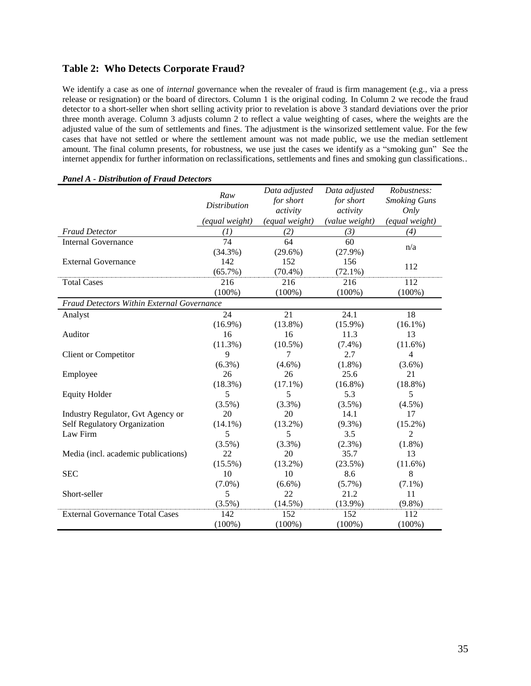## **Table 2: Who Detects Corporate Fraud?**

We identify a case as one of *internal* governance when the revealer of fraud is firm management (e.g., via a press release or resignation) or the board of directors. Column 1 is the original coding. In Column 2 we recode the fraud detector to a short-seller when short selling activity prior to revelation is above 3 standard deviations over the prior three month average. Column 3 adjusts column 2 to reflect a value weighting of cases, where the weights are the adjusted value of the sum of settlements and fines. The adjustment is the winsorized settlement value. For the few cases that have not settled or where the settlement amount was not made public, we use the median settlement amount. The final column presents, for robustness, we use just the cases we identify as a "smoking gun" See the internet appendix for further information on reclassifications, settlements and fines and smoking gun classifications..

|                                                   |                            | Data adjusted  | Data adjusted  | Robustness:         |
|---------------------------------------------------|----------------------------|----------------|----------------|---------------------|
|                                                   | Raw<br><b>Distribution</b> | for short      | for short      | <b>Smoking Guns</b> |
|                                                   |                            | activity       | activity       | Only                |
|                                                   | equal weight)              | (equal weight) | (value weight) | (equal weight)      |
| <b>Fraud Detector</b>                             | (1)                        | (2)            | (3)            | (4)                 |
| <b>Internal Governance</b>                        | $\overline{74}$            | 64             | 60             | n/a                 |
|                                                   | $(34.3\%)$                 | $(29.6\%)$     | $(27.9\%)$     |                     |
| <b>External Governance</b>                        | 142                        | 152            | 156            | 112                 |
|                                                   | $(65.7\%)$                 | $(70.4\%)$     | $(72.1\%)$     |                     |
| <b>Total Cases</b>                                | 216                        | 216            | 216            | 112                 |
|                                                   | $(100\%)$                  | $(100\%)$      | $(100\%)$      | $(100\%)$           |
| <b>Fraud Detectors Within External Governance</b> |                            |                |                |                     |
| Analyst                                           | 24                         | 21             | 24.1           | 18                  |
|                                                   | $(16.9\%)$                 | $(13.8\%)$     | $(15.9\%)$     | $(16.1\%)$          |
| Auditor                                           | 16                         | 16             | 11.3           | 13                  |
|                                                   | $(11.3\%)$                 | $(10.5\%)$     | $(7.4\%)$      | $(11.6\%)$          |
| <b>Client or Competitor</b>                       | 9                          | 7              | 2.7            | 4                   |
|                                                   | $(6.3\%)$                  | $(4.6\%)$      | $(1.8\%)$      | $(3.6\%)$           |
| Employee                                          | 26                         | 26             | 25.6           | 21                  |
|                                                   | $(18.3\%)$                 | $(17.1\%)$     | $(16.8\%)$     | $(18.8\%)$          |
| <b>Equity Holder</b>                              | 5                          | 5              | 5.3            | 5                   |
|                                                   | $(3.5\%)$                  | $(3.3\%)$      | $(3.5\%)$      | $(4.5\%)$           |
| Industry Regulator, Gvt Agency or                 | 20                         | 20             | 14.1           | 17                  |
| Self Regulatory Organization                      | $(14.1\%)$                 | $(13.2\%)$     | $(9.3\%)$      | $(15.2\%)$          |
| Law Firm                                          | 5                          | 5              | 3.5            | $\overline{2}$      |
|                                                   | $(3.5\%)$                  | $(3.3\%)$      | $(2.3\%)$      | $(1.8\%)$           |
| Media (incl. academic publications)               | 22                         | 20             | 35.7           | 13                  |
|                                                   | $(15.5\%)$                 | $(13.2\%)$     | (23.5%)        | $(11.6\%)$          |
| <b>SEC</b>                                        | 10                         | 10             | 8.6            | 8                   |
|                                                   | $(7.0\%)$                  | $(6.6\%)$      | $(5.7\%)$      | $(7.1\%)$           |
| Short-seller                                      | 5                          | 22             | 21.2           | 11                  |
|                                                   | $(3.5\%)$                  | $(14.5\%)$     | $(13.9\%)$     | $(9.8\%)$           |
| <b>External Governance Total Cases</b>            | 142                        | 152            | 152            | 112                 |
|                                                   | $(100\%)$                  | $(100\%)$      | $(100\%)$      | $(100\%)$           |

#### *Panel A - Distribution of Fraud Detectors*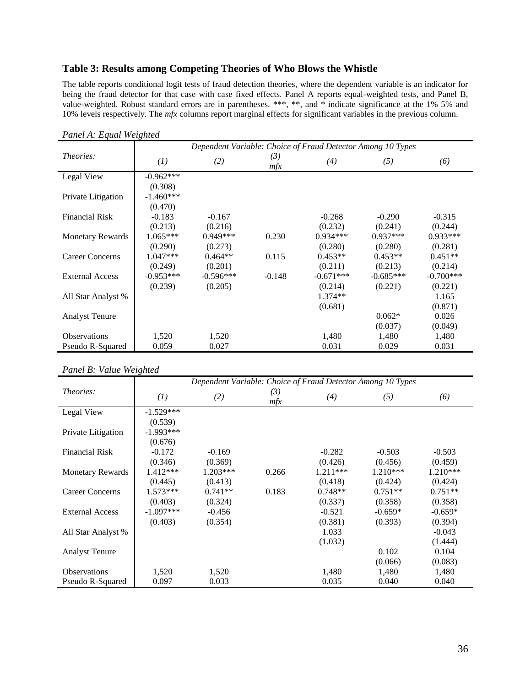## **Table 3: Results among Competing Theories of Who Blows the Whistle**

The table reports conditional logit tests of fraud detection theories, where the dependent variable is an indicator for being the fraud detector for that case with case fixed effects. Panel A reports equal-weighted tests, and Panel B, value-weighted. Robust standard errors are in parentheses. \*\*\*, \*\*, and \* indicate significance at the 1% 5% and 10% levels respectively. The *mfx* columns report marginal effects for significant variables in the previous column.

| Dependent Variable: Choice of Fraud Detector Among 10 Types |             |             |            |             |             |             |
|-------------------------------------------------------------|-------------|-------------|------------|-------------|-------------|-------------|
| <i>Theories:</i>                                            | (1)         | (2)         | (3)<br>mfx | (4)         | (5)         | (6)         |
| Legal View                                                  | $-0.962***$ |             |            |             |             |             |
|                                                             | (0.308)     |             |            |             |             |             |
| Private Litigation                                          | $-1.460***$ |             |            |             |             |             |
|                                                             | (0.470)     |             |            |             |             |             |
| <b>Financial Risk</b>                                       | $-0.183$    | $-0.167$    |            | $-0.268$    | $-0.290$    | $-0.315$    |
|                                                             | (0.213)     | (0.216)     |            | (0.232)     | (0.241)     | (0.244)     |
| <b>Monetary Rewards</b>                                     | $1.065***$  | $0.949***$  | 0.230      | $0.934***$  | $0.937***$  | $0.933***$  |
|                                                             | (0.290)     | (0.273)     |            | (0.280)     | (0.280)     | (0.281)     |
| <b>Career Concerns</b>                                      | $1.047***$  | $0.464**$   | 0.115      | $0.453**$   | $0.453**$   | $0.451**$   |
|                                                             | (0.249)     | (0.201)     |            | (0.211)     | (0.213)     | (0.214)     |
| <b>External Access</b>                                      | $-0.953***$ | $-0.596***$ | $-0.148$   | $-0.671***$ | $-0.685***$ | $-0.700***$ |
|                                                             | (0.239)     | (0.205)     |            | (0.214)     | (0.221)     | (0.221)     |
| All Star Analyst %                                          |             |             |            | $1.374**$   |             | 1.165       |
|                                                             |             |             |            | (0.681)     |             | (0.871)     |
| <b>Analyst Tenure</b>                                       |             |             |            |             | $0.062*$    | 0.026       |
|                                                             |             |             |            |             | (0.037)     | (0.049)     |
| <b>Observations</b>                                         | 1,520       | 1,520       |            | 1,480       | 1,480       | 1,480       |
| Pseudo R-Squared                                            | 0.059       | 0.027       |            | 0.031       | 0.029       | 0.031       |

*Panel A: Equal Weighted*

## *Panel B: Value Weighted*

|                         | Dependent Variable: Choice of Fraud Detector Among 10 Types |            |            |            |            |            |  |  |
|-------------------------|-------------------------------------------------------------|------------|------------|------------|------------|------------|--|--|
| <i>Theories:</i>        | (1)                                                         | (2)        | (3)<br>mfx | (4)        | (5)        | (6)        |  |  |
| Legal View              | $-1.529***$                                                 |            |            |            |            |            |  |  |
|                         | (0.539)                                                     |            |            |            |            |            |  |  |
| Private Litigation      | $-1.993***$                                                 |            |            |            |            |            |  |  |
|                         | (0.676)                                                     |            |            |            |            |            |  |  |
| <b>Financial Risk</b>   | $-0.172$                                                    | $-0.169$   |            | $-0.282$   | $-0.503$   | $-0.503$   |  |  |
|                         | (0.346)                                                     | (0.369)    |            | (0.426)    | (0.456)    | (0.459)    |  |  |
| <b>Monetary Rewards</b> | $1.412***$                                                  | $1.203***$ | 0.266      | $1.211***$ | $1.210***$ | $1.210***$ |  |  |
|                         | (0.445)                                                     | (0.413)    |            | (0.418)    | (0.424)    | (0.424)    |  |  |
| Career Concerns         | $1.573***$                                                  | $0.741**$  | 0.183      | $0.748**$  | $0.751**$  | $0.751**$  |  |  |
|                         | (0.403)                                                     | (0.324)    |            | (0.337)    | (0.358)    | (0.358)    |  |  |
| <b>External Access</b>  | $-1.097***$                                                 | $-0.456$   |            | $-0.521$   | $-0.659*$  | $-0.659*$  |  |  |
|                         | (0.403)                                                     | (0.354)    |            | (0.381)    | (0.393)    | (0.394)    |  |  |
| All Star Analyst %      |                                                             |            |            | 1.033      |            | $-0.043$   |  |  |
|                         |                                                             |            |            | (1.032)    |            | (1.444)    |  |  |
| <b>Analyst Tenure</b>   |                                                             |            |            |            | 0.102      | 0.104      |  |  |
|                         |                                                             |            |            |            | (0.066)    | (0.083)    |  |  |
| <b>Observations</b>     | 1,520                                                       | 1,520      |            | 1,480      | 1,480      | 1,480      |  |  |
| Pseudo R-Squared        | 0.097                                                       | 0.033      |            | 0.035      | 0.040      | 0.040      |  |  |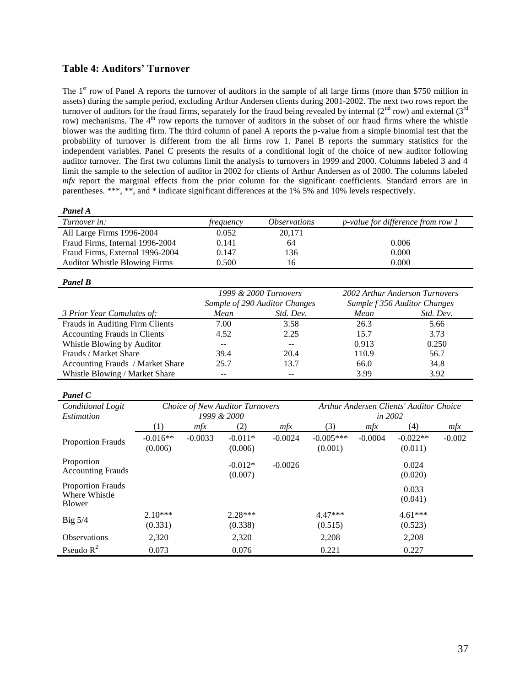## **Table 4: Auditors' Turnover**

The  $1<sup>st</sup>$  row of Panel A reports the turnover of auditors in the sample of all large firms (more than \$750 million in assets) during the sample period, excluding Arthur Andersen clients during 2001-2002. The next two rows report the turnover of auditors for the fraud firms, separately for the fraud being revealed by internal ( $2^{nd}$  row) and external ( $3^{rd}$ ) row) mechanisms. The 4<sup>th</sup> row reports the turnover of auditors in the subset of our fraud firms where the whistle blower was the auditing firm. The third column of panel A reports the p-value from a simple binomial test that the probability of turnover is different from the all firms row 1. Panel B reports the summary statistics for the independent variables. Panel C presents the results of a conditional logit of the choice of new auditor following auditor turnover. The first two columns limit the analysis to turnovers in 1999 and 2000. Columns labeled 3 and 4 limit the sample to the selection of auditor in 2002 for clients of Arthur Andersen as of 2000. The columns labeled *mfx* report the marginal effects from the prior column for the significant coefficients. Standard errors are in parentheses. \*\*\*, \*\*, and \* indicate significant differences at the 1% 5% and 10% levels respectively.

#### *Panel A*

| Turnover in:                         | <i>trequency</i> | <i><b>Observations</b></i> | <i>p-value for difference from row 1</i> |
|--------------------------------------|------------------|----------------------------|------------------------------------------|
| All Large Firms 1996-2004            | 0.052            | 20,171                     |                                          |
| Fraud Firms, Internal 1996-2004      | 0.141            | 64                         | 0.006                                    |
| Fraud Firms, External 1996-2004      | 0.147            | 136                        | 0.000                                    |
| <b>Auditor Whistle Blowing Firms</b> | 0.500            | 16                         | 0.000                                    |

| <b>Panel B</b>                      |       |                               |                                |           |  |
|-------------------------------------|-------|-------------------------------|--------------------------------|-----------|--|
|                                     |       | 1999 & 2000 Turnovers         | 2002 Arthur Anderson Turnovers |           |  |
|                                     |       | Sample of 290 Auditor Changes | Sample f 356 Auditor Changes   |           |  |
| 3 Prior Year Cumulates of:          | Mean  | Std. Dev.                     | Mean                           | Std. Dev. |  |
| Frauds in Auditing Firm Clients     | 7.00  | 3.58                          | 26.3                           | 5.66      |  |
| <b>Accounting Frauds in Clients</b> | 4.52  | 2.25                          | 15.7                           | 3.73      |  |
| Whistle Blowing by Auditor          | $- -$ | $- -$                         | 0.913                          | 0.250     |  |
| Frauds / Market Share               | 39.4  | 20.4                          | 110.9                          | 56.7      |  |
| Accounting Frauds / Market Share    | 25.7  | 13.7                          | 66.0                           | 34.8      |  |
| Whistle Blowing / Market Share      | $- -$ |                               | 3.99                           | 3.92      |  |

#### *Panel C*

| Conditional Logit<br>Estimation                     | Choice of New Auditor Turnovers<br>1999 & 2000 |           |                      | Arthur Andersen Clients' Auditor Choice<br><i>in 2002</i> |                        |           |                       |          |
|-----------------------------------------------------|------------------------------------------------|-----------|----------------------|-----------------------------------------------------------|------------------------|-----------|-----------------------|----------|
|                                                     | (1)                                            | mfx       | (2)                  | mfx                                                       | (3)                    | mfx       | (4)                   | mfx      |
| <b>Proportion Frauds</b>                            | $-0.016**$<br>(0.006)                          | $-0.0033$ | $-0.011*$<br>(0.006) | $-0.0024$                                                 | $-0.005***$<br>(0.001) | $-0.0004$ | $-0.022**$<br>(0.011) | $-0.002$ |
| Proportion<br><b>Accounting Frauds</b>              |                                                |           | $-0.012*$<br>(0.007) | $-0.0026$                                                 |                        |           | 0.024<br>(0.020)      |          |
| <b>Proportion Frauds</b><br>Where Whistle<br>Blower |                                                |           |                      |                                                           |                        |           | 0.033<br>(0.041)      |          |
| Big $5/4$                                           | $2.10***$<br>(0.331)                           |           | $2.28***$<br>(0.338) |                                                           | $4.47***$<br>(0.515)   |           | $4.61***$<br>(0.523)  |          |
| Observations                                        | 2,320                                          |           | 2,320                |                                                           | 2,208                  |           | 2,208                 |          |
| Pseudo $R^2$                                        | 0.073                                          |           | 0.076                |                                                           | 0.221                  |           | 0.227                 |          |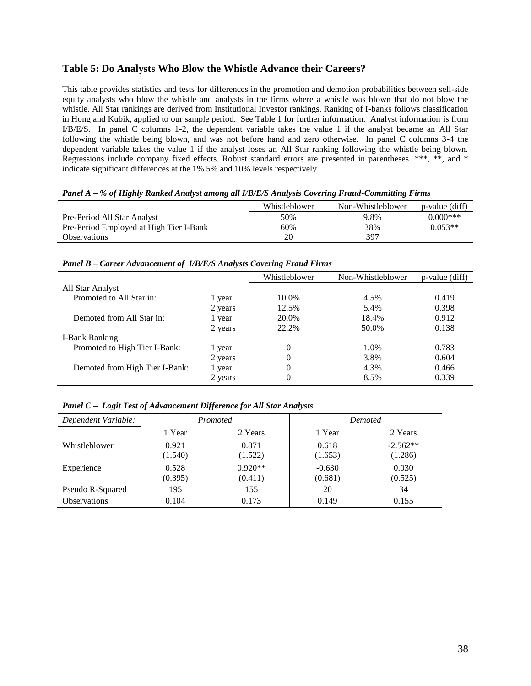## **Table 5: Do Analysts Who Blow the Whistle Advance their Careers?**

This table provides statistics and tests for differences in the promotion and demotion probabilities between sell-side equity analysts who blow the whistle and analysts in the firms where a whistle was blown that do not blow the whistle. All Star rankings are derived from Institutional Investor rankings. Ranking of I-banks follows classification in Hong and Kubik, applied to our sample period. See Table 1 for further information. Analyst information is from I/B/E/S. In panel C columns 1-2, the dependent variable takes the value 1 if the analyst became an All Star following the whistle being blown, and was not before hand and zero otherwise. In panel C columns 3-4 the dependent variable takes the value 1 if the analyst loses an All Star ranking following the whistle being blown. Regressions include company fixed effects. Robust standard errors are presented in parentheses. \*\*\*, \*\*, and \* indicate significant differences at the 1% 5% and 10% levels respectively.

|                                         | Whistleblower | Non-Whistleblower | p-value (diff) |
|-----------------------------------------|---------------|-------------------|----------------|
| Pre-Period All Star Analyst             | 50%           | 9.8%              | $0.000***$     |
| Pre-Period Employed at High Tier I-Bank | 60%           | 38%               | $0.053**$      |
| <b>Observations</b>                     | 20            | 397               |                |

*Panel A – % of Highly Ranked Analyst among all I/B/E/S Analysis Covering Fraud-Committing Firms*

|                                |         | Whistleblower | Non-Whistleblower | p-value (diff) |
|--------------------------------|---------|---------------|-------------------|----------------|
| All Star Analyst               |         |               |                   |                |
| Promoted to All Star in:       | l year  | 10.0%         | 4.5%              | 0.419          |
|                                | 2 years | 12.5%         | 5.4%              | 0.398          |
| Demoted from All Star in:      | 1 year  | 20.0%         | 18.4%             | 0.912          |
|                                | 2 years | 22.2%         | 50.0%             | 0.138          |
| I-Bank Ranking                 |         |               |                   |                |
| Promoted to High Tier I-Bank:  | 1 year  | 0             | 1.0%              | 0.783          |
|                                | 2 years | 0             | 3.8%              | 0.604          |
| Demoted from High Tier I-Bank: | vear    | 0             | 4.3%              | 0.466          |

2 years 0 8.5% 0.339

*Panel B – Career Advancement of I/B/E/S Analysts Covering Fraud Firms*

#### *Panel C – Logit Test of Advancement Difference for All Star Analysts*

| Dependent Variable: | Promoted |           | <b>Demoted</b> |            |
|---------------------|----------|-----------|----------------|------------|
|                     | 1 Year   | 2 Years   | 1 Year         | 2 Years    |
| Whistleblower       | 0.921    | 0.871     | 0.618          | $-2.562**$ |
|                     | (1.540)  | (1.522)   | (1.653)        | (1.286)    |
| Experience          | 0.528    | $0.920**$ | $-0.630$       | 0.030      |
|                     | (0.395)  | (0.411)   | (0.681)        | (0.525)    |
| Pseudo R-Squared    | 195      | 155       | 20             | 34         |
| <b>Observations</b> | 0.104    | 0.173     | 0.149          | 0.155      |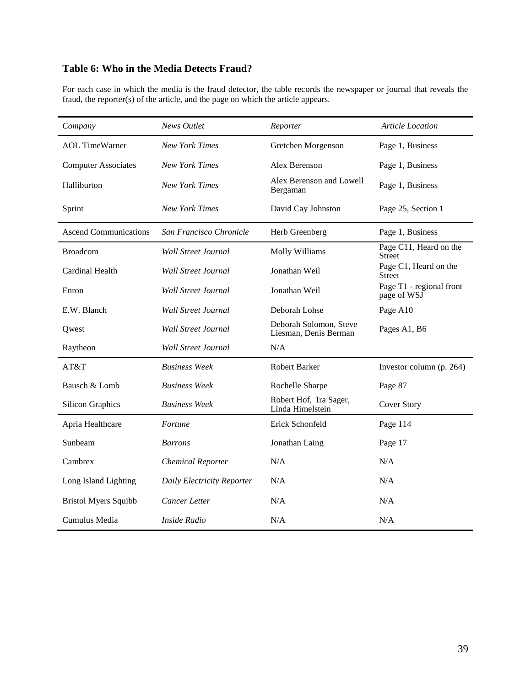# **Table 6: Who in the Media Detects Fraud?**

For each case in which the media is the fraud detector, the table records the newspaper or journal that reveals the fraud, the reporter(s) of the article, and the page on which the article appears.

| Company                      | News Outlet                | Reporter                                        | <b>Article Location</b>                 |
|------------------------------|----------------------------|-------------------------------------------------|-----------------------------------------|
| <b>AOL TimeWarner</b>        | <b>New York Times</b>      | Gretchen Morgenson                              | Page 1, Business                        |
| <b>Computer Associates</b>   | <b>New York Times</b>      | Alex Berenson                                   | Page 1, Business                        |
| Halliburton                  | <b>New York Times</b>      | Alex Berenson and Lowell<br>Bergaman            | Page 1, Business                        |
| Sprint                       | <b>New York Times</b>      | David Cay Johnston                              | Page 25, Section 1                      |
| <b>Ascend Communications</b> | San Francisco Chronicle    | Herb Greenberg                                  | Page 1, Business                        |
| <b>Broadcom</b>              | <b>Wall Street Journal</b> | Molly Williams                                  | Page C11, Heard on the<br><b>Street</b> |
| <b>Cardinal Health</b>       | Wall Street Journal        | Jonathan Weil                                   | Page C1, Heard on the<br>Street         |
| Enron                        | <b>Wall Street Journal</b> | Jonathan Weil                                   | Page T1 - regional front<br>page of WSJ |
| E.W. Blanch                  | Wall Street Journal        | Deborah Lohse                                   | Page A10                                |
| Qwest                        | <b>Wall Street Journal</b> | Deborah Solomon, Steve<br>Liesman, Denis Berman | Pages A1, B6                            |
| Raytheon                     | <b>Wall Street Journal</b> | N/A                                             |                                         |
| AT&T                         | <b>Business Week</b>       | Robert Barker                                   | Investor column (p. 264)                |
| Bausch & Lomb                | <b>Business Week</b>       | Rochelle Sharpe                                 | Page 87                                 |
| <b>Silicon Graphics</b>      | <b>Business Week</b>       | Robert Hof, Ira Sager,<br>Linda Himelstein      | <b>Cover Story</b>                      |
| Apria Healthcare             | Fortune                    | Erick Schonfeld                                 | Page 114                                |
| Sunbeam                      | <b>Barrons</b>             | Jonathan Laing                                  | Page 17                                 |
| Cambrex                      | <b>Chemical Reporter</b>   | N/A                                             | N/A                                     |
| Long Island Lighting         | Daily Electricity Reporter | N/A                                             | N/A                                     |
| <b>Bristol Myers Squibb</b>  | Cancer Letter              | N/A                                             | N/A                                     |
| Cumulus Media                | Inside Radio               | N/A                                             | N/A                                     |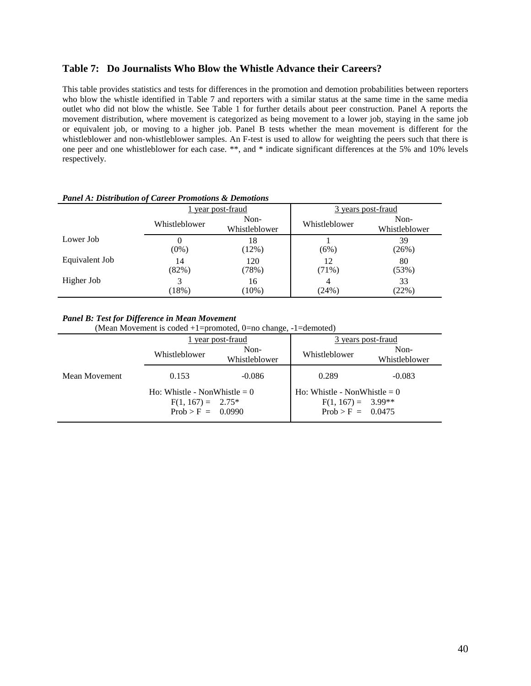## **Table 7: Do Journalists Who Blow the Whistle Advance their Careers?**

This table provides statistics and tests for differences in the promotion and demotion probabilities between reporters who blow the whistle identified in Table 7 and reporters with a similar status at the same time in the same media outlet who did not blow the whistle. See Table 1 for further details about peer construction. Panel A reports the movement distribution, where movement is categorized as being movement to a lower job, staying in the same job or equivalent job, or moving to a higher job. Panel B tests whether the mean movement is different for the whistleblower and non-whistleblower samples. An F-test is used to allow for weighting the peers such that there is one peer and one whistleblower for each case. \*\*, and \* indicate significant differences at the 5% and 10% levels respectively.

|                |               | year post-fraud                        | 3 years post-fraud |                       |  |
|----------------|---------------|----------------------------------------|--------------------|-----------------------|--|
|                | Whistleblower | Non-<br>Whistleblower<br>Whistleblower |                    | Non-<br>Whistleblower |  |
| Lower Job      | $(0\%)$       | 18<br>(12%)                            | (6%)               | 39<br>(26%)           |  |
| Equivalent Job | 14<br>(82%)   | 120<br>(78%)                           | 12<br>(71%)        | 80<br>(53%)           |  |
| Higher Job     | $18\%)$       | 16<br>$(10\%)$                         | 4<br>(24%)         | 33<br>(22%)           |  |

#### *Panel A: Distribution of Career Promotions & Demotions*

### *Panel B: Test for Difference in Mean Movement*

(Mean Movement is coded +1=promoted, 0=no change, -1=demoted)

| 1 year post-fraud |                                                                              |                       | 3 years post-fraud                                                            |                       |  |
|-------------------|------------------------------------------------------------------------------|-----------------------|-------------------------------------------------------------------------------|-----------------------|--|
|                   | Whistleblower                                                                | Non-<br>Whistleblower | Whistleblower                                                                 | Non-<br>Whistleblower |  |
| Mean Movement     | 0.153                                                                        | $-0.086$              | 0.289                                                                         | $-0.083$              |  |
|                   | Ho: Whistle - NonWhistle $= 0$<br>$F(1, 167) = 2.75*$<br>$Prob > F = 0.0990$ |                       | Ho: Whistle - NonWhistle $= 0$<br>$F(1, 167) = 3.99**$<br>$Prob > F = 0.0475$ |                       |  |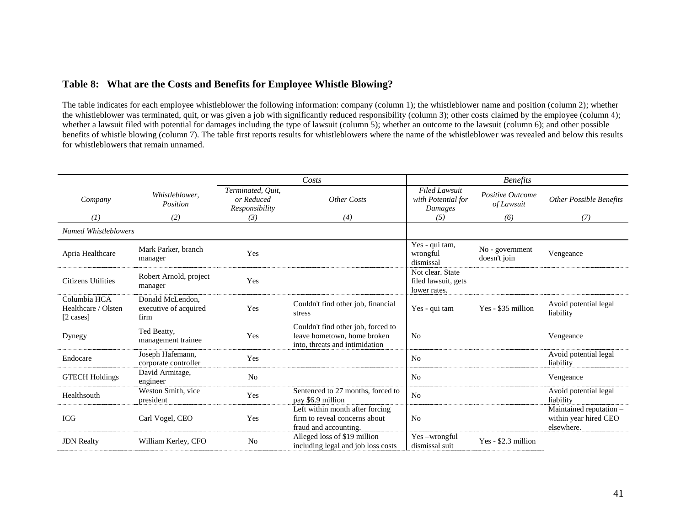## **Table 8: What are the Costs and Benefits for Employee Whistle Blowing?**

The table indicates for each employee whistleblower the following information: company (column 1); the whistleblower name and position (column 2); whether the whistleblower was terminated, quit, or was given a job with significantly reduced responsibility (column 3); other costs claimed by the employee (column 4); whether a lawsuit filed with potential for damages including the type of lawsuit (column 5); whether an outcome to the lawsuit (column 6); and other possible benefits of whistle blowing (column 7). The table first reports results for whistleblowers where the name of the whistleblower was revealed and below this results for whistleblowers that remain unnamed.

|                                                            |                                                   | Costs                                             |                                                                                                     | <b>Benefits</b>                                         |                                 |                                                                |
|------------------------------------------------------------|---------------------------------------------------|---------------------------------------------------|-----------------------------------------------------------------------------------------------------|---------------------------------------------------------|---------------------------------|----------------------------------------------------------------|
| Company                                                    | Whistleblower.<br>Position                        | Terminated, Quit,<br>or Reduced<br>Responsibility | Other Costs                                                                                         | <b>Filed Lawsuit</b><br>with Potential for<br>Damages   | Positive Outcome<br>of Lawsuit  | <b>Other Possible Benefits</b>                                 |
| (I)                                                        | (2)                                               | (3)                                               | (4)                                                                                                 | (5)                                                     | (6)                             | (7)                                                            |
| Named Whistleblowers                                       |                                                   |                                                   |                                                                                                     |                                                         |                                 |                                                                |
| Apria Healthcare                                           | Mark Parker, branch<br>manager                    | Yes                                               |                                                                                                     | Yes - qui tam,<br>wrongful<br>dismissal                 | No - government<br>doesn't join | Vengeance                                                      |
| <b>Citizens Utilities</b>                                  | Robert Arnold, project<br>manager                 | Yes                                               |                                                                                                     | Not clear. State<br>filed lawsuit, gets<br>lower rates. |                                 |                                                                |
| Columbia HCA<br>Healthcare / Olsten<br>$[2 \text{ cases}]$ | Donald McLendon.<br>executive of acquired<br>firm | Yes                                               | Couldn't find other job, financial<br>stress                                                        | Yes - qui tam                                           | Yes - \$35 million              | Avoid potential legal<br>liability                             |
| Dynegy                                                     | Ted Beatty,<br>management trainee                 | Yes                                               | Couldn't find other job, forced to<br>leave hometown, home broken<br>into, threats and intimidation | N <sub>o</sub>                                          |                                 | Vengeance                                                      |
| Endocare                                                   | Joseph Hafemann,<br>corporate controller          | Yes                                               |                                                                                                     | No                                                      |                                 | Avoid potential legal<br>liability                             |
| <b>GTECH Holdings</b>                                      | David Armitage,<br>engineer                       | N <sub>o</sub>                                    |                                                                                                     | No                                                      |                                 | Vengeance                                                      |
| Healthsouth                                                | Weston Smith, vice<br>president                   | Yes                                               | Sentenced to 27 months, forced to<br>pay \$6.9 million                                              | N <sub>o</sub>                                          |                                 | Avoid potential legal<br>liability                             |
| <b>ICG</b>                                                 | Carl Vogel, CEO                                   | Yes                                               | Left within month after forcing<br>firm to reveal concerns about<br>fraud and accounting.           | N <sub>0</sub>                                          |                                 | Maintained reputation -<br>within year hired CEO<br>elsewhere. |
| <b>JDN</b> Realty                                          | William Kerley, CFO                               | No                                                | Alleged loss of \$19 million<br>including legal and job loss costs                                  | Yes-wrongful<br>dismissal suit                          | Yes - \$2.3 million             |                                                                |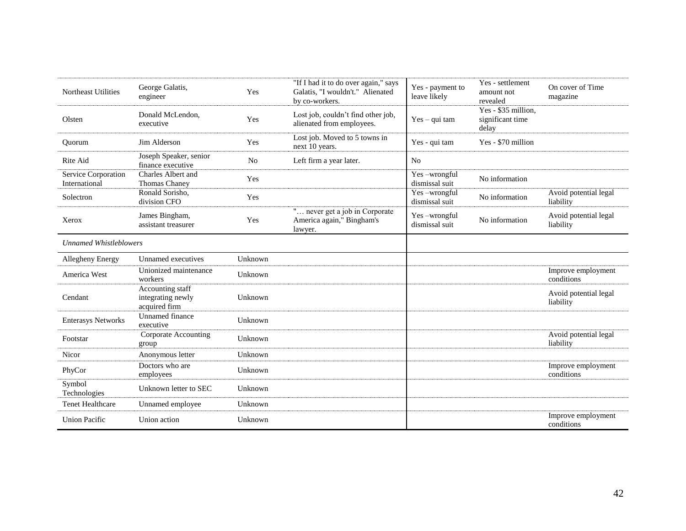| Northeast Utilities                  | George Galatis,<br>engineer                            | Yes            | "If I had it to do over again," says<br>Galatis, "I wouldn't." Alienated<br>by co-workers. | Yes - payment to<br>leave likely | Yes - settlement<br>amount not<br>revealed       | On cover of Time<br>magazine       |
|--------------------------------------|--------------------------------------------------------|----------------|--------------------------------------------------------------------------------------------|----------------------------------|--------------------------------------------------|------------------------------------|
| Olsten                               | Donald McLendon.<br>executive                          | Yes            | Lost job, couldn't find other job,<br>alienated from employees.                            | $Yes - qui tam$                  | Yes - \$35 million,<br>significant time<br>delay |                                    |
| Quorum                               | Jim Alderson                                           | Yes            | Lost job. Moved to 5 towns in<br>next 10 years.                                            | Yes - qui tam                    | Yes - \$70 million                               |                                    |
| Rite Aid                             | Joseph Speaker, senior<br>finance executive            | N <sub>0</sub> | Left firm a year later.                                                                    | N <sub>0</sub>                   |                                                  |                                    |
| Service Corporation<br>International | Charles Albert and<br>Thomas Chaney                    | Yes            |                                                                                            | Yes-wrongful<br>dismissal suit   | No information                                   |                                    |
| Solectron                            | Ronald Sorisho,<br>division CFO                        | Yes            |                                                                                            | Yes-wrongful<br>dismissal suit   | No information                                   | Avoid potential legal<br>liability |
| Xerox                                | James Bingham,<br>assistant treasurer                  | Yes            | " never get a job in Corporate"<br>America again," Bingham's<br>lawyer.                    | Yes-wrongful<br>dismissal suit   | No information                                   | Avoid potential legal<br>liability |
| <b>Unnamed Whistleblowers</b>        |                                                        |                |                                                                                            |                                  |                                                  |                                    |
| Allegheny Energy                     | Unnamed executives                                     | Unknown        |                                                                                            |                                  |                                                  |                                    |
| America West                         | Unionized maintenance<br>workers                       | Unknown        |                                                                                            |                                  |                                                  | Improve employment<br>conditions   |
| Cendant                              | Accounting staff<br>integrating newly<br>acquired firm | Unknown        |                                                                                            |                                  |                                                  | Avoid potential legal<br>liability |
| <b>Enterasys Networks</b>            | <b>Unnamed</b> finance<br>executive                    | Unknown        |                                                                                            |                                  |                                                  |                                    |
| Footstar                             | Corporate Accounting<br>group                          | Unknown        |                                                                                            |                                  |                                                  | Avoid potential legal<br>liability |
| Nicor                                | Anonymous letter                                       | Unknown        |                                                                                            |                                  |                                                  |                                    |
| PhyCor                               | Doctors who are<br>employees                           | Unknown        |                                                                                            |                                  |                                                  | Improve employment<br>conditions   |
| Symbol<br>Technologies               | Unknown letter to SEC                                  | Unknown        |                                                                                            |                                  |                                                  |                                    |
| <b>Tenet Healthcare</b>              | Unnamed employee                                       | Unknown        |                                                                                            |                                  |                                                  |                                    |
| <b>Union Pacific</b>                 | Union action                                           | Unknown        |                                                                                            |                                  |                                                  | Improve employment<br>conditions   |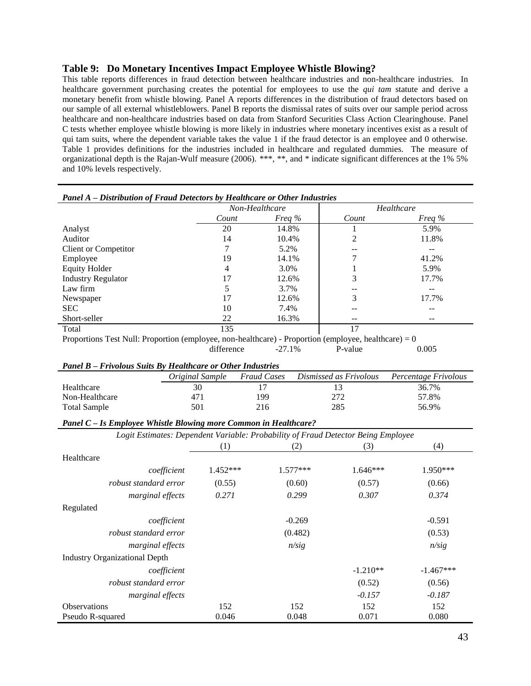#### **Table 9: Do Monetary Incentives Impact Employee Whistle Blowing?**

This table reports differences in fraud detection between healthcare industries and non-healthcare industries. In healthcare government purchasing creates the potential for employees to use the *qui tam* statute and derive a monetary benefit from whistle blowing. Panel A reports differences in the distribution of fraud detectors based on our sample of all external whistleblowers. Panel B reports the dismissal rates of suits over our sample period across healthcare and non-healthcare industries based on data from Stanford Securities Class Action Clearinghouse. Panel C tests whether employee whistle blowing is more likely in industries where monetary incentives exist as a result of qui tam suits, where the dependent variable takes the value 1 if the fraud detector is an employee and 0 otherwise. Table 1 provides definitions for the industries included in healthcare and regulated dummies. The measure of organizational depth is the Rajan-Wulf measure (2006). \*\*\*, \*\*, and \* indicate significant differences at the 1% 5% and 10% levels respectively.

| Panel A - Distribution of Fraud Detectors by Healthcare or Other Industries                          |                 |                                              |                          |                           |  |  |  |
|------------------------------------------------------------------------------------------------------|-----------------|----------------------------------------------|--------------------------|---------------------------|--|--|--|
|                                                                                                      | Non-Healthcare  |                                              |                          | Healthcare                |  |  |  |
|                                                                                                      | Count           | Freq %                                       | Count                    | Freq %                    |  |  |  |
| Analyst                                                                                              | 20              | 14.8%                                        | 1                        | 5.9%                      |  |  |  |
| Auditor                                                                                              | 14              | 10.4%                                        | $\overline{c}$           | 11.8%                     |  |  |  |
| Client or Competitor                                                                                 | 7               | 5.2%                                         | $\overline{\phantom{a}}$ | $\overline{a}$            |  |  |  |
| Employee                                                                                             | 19              | 14.1%                                        | 7                        | 41.2%                     |  |  |  |
| <b>Equity Holder</b>                                                                                 | $\overline{4}$  | 3.0%                                         | $\mathbf{1}$             | 5.9%                      |  |  |  |
| <b>Industry Regulator</b>                                                                            | 17              | 12.6%                                        | 3                        | 17.7%                     |  |  |  |
| Law firm                                                                                             | 5               | 3.7%                                         | $\overline{\phantom{a}}$ | $\overline{a}$            |  |  |  |
| Newspaper                                                                                            | 17              | 12.6%                                        | 3                        | 17.7%                     |  |  |  |
| <b>SEC</b>                                                                                           | 10              | 7.4%                                         | $-$                      | $\overline{a}$            |  |  |  |
| Short-seller                                                                                         | 22              | 16.3%                                        | $\overline{\phantom{a}}$ | $-$                       |  |  |  |
| Total                                                                                                | 135             |                                              | 17                       |                           |  |  |  |
| Proportions Test Null: Proportion (employee, non-healthcare) - Proportion (employee, healthcare) = 0 |                 |                                              |                          |                           |  |  |  |
|                                                                                                      | difference      | $-27.1%$                                     | P-value                  | 0.005                     |  |  |  |
| Panel B - Frivolous Suits By Healthcare or Other Industries                                          |                 |                                              |                          |                           |  |  |  |
|                                                                                                      | Original Sample | Dismissed as Frivolous<br><b>Fraud Cases</b> |                          | Percentage Frivolous      |  |  |  |
| Healthcare                                                                                           | 30              | 17                                           | 13                       | 36.7%                     |  |  |  |
| Non-Healthcare                                                                                       | 471             | 199                                          | 272                      | 57.8%                     |  |  |  |
| <b>Total Sample</b>                                                                                  | 501             | 216                                          | 285                      | 56.9%                     |  |  |  |
| Panel C - Is Employee Whistle Blowing more Common in Healthcare?                                     |                 |                                              |                          |                           |  |  |  |
| Logit Estimates: Dependent Variable: Probability of Fraud Detector Being Employee                    |                 |                                              |                          |                           |  |  |  |
|                                                                                                      | (1)             | (2)                                          |                          | (4)<br>(3)                |  |  |  |
| Healthcare                                                                                           |                 |                                              |                          |                           |  |  |  |
| coefficient                                                                                          | 1.452***        | $1.577***$                                   |                          | $1.646***$<br>1.950***    |  |  |  |
| robust standard error                                                                                | (0.55)          | (0.60)                                       |                          | (0.57)<br>(0.66)          |  |  |  |
| marginal effects                                                                                     | 0.271           | 0.299                                        |                          | 0.307<br>0.374            |  |  |  |
| Regulated                                                                                            |                 |                                              |                          |                           |  |  |  |
| coefficient                                                                                          |                 | $-0.269$                                     |                          | $-0.591$                  |  |  |  |
| robust standard error                                                                                |                 | (0.482)                                      |                          | (0.53)                    |  |  |  |
| marginal effects                                                                                     |                 | n/sig                                        |                          | n/sig                     |  |  |  |
| <b>Industry Organizational Depth</b>                                                                 |                 |                                              |                          |                           |  |  |  |
| coefficient                                                                                          |                 |                                              |                          | $-1.210**$<br>$-1.467***$ |  |  |  |
| robust standard error                                                                                |                 |                                              |                          | (0.52)<br>(0.56)          |  |  |  |
| marginal effects                                                                                     |                 |                                              |                          | $-0.157$<br>$-0.187$      |  |  |  |
| <b>Observations</b>                                                                                  | 152             | 152                                          |                          | 152<br>152                |  |  |  |
| Pseudo R-squared                                                                                     | 0.046           | 0.048                                        |                          | 0.071<br>0.080            |  |  |  |